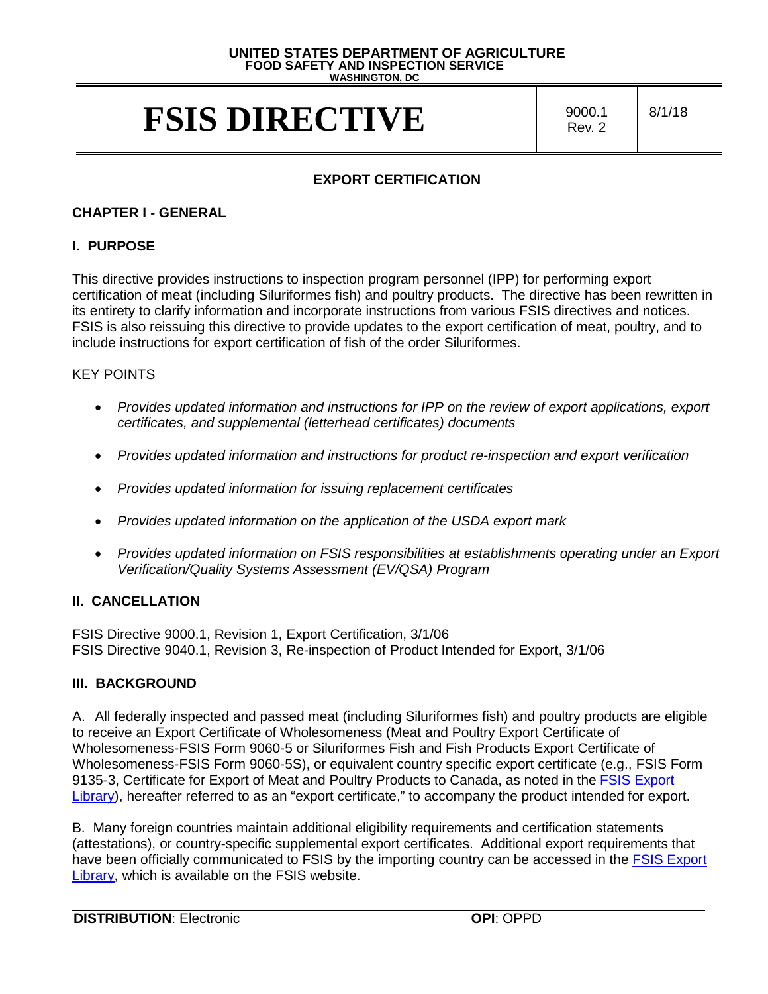#### **UNITED STATES DEPARTMENT OF AGRICULTURE FOOD SAFETY AND INSPECTION SERVICE WASHINGTON, DC**

# **FSIS DIRECTIVE**  $\frac{9000.1}{\text{Rev 2}}$

Rev. 2

8/1/18

## **EXPORT CERTIFICATION**

### **CHAPTER I - GENERAL**

#### **I. PURPOSE**

 This directive provides instructions to inspection program personnel (IPP) for performing export certification of meat (including Siluriformes fish) and poultry products. The directive has been rewritten in its entirety to clarify information and incorporate instructions from various FSIS directives and notices. include instructions for export certification of fish of the order Siluriformes. FSIS is also reissuing this directive to provide updates to the export certification of meat, poultry, and to

#### KEY POINTS

- Provides updated information and instructions for IPP on the review of export applications, export *certificates, and supplemental (letterhead certificates) documents*
- Provides updated information and instructions for product re-inspection and export verification
- *Provides updated information for issuing replacement certificates*
- *Provides updated information on the application of the USDA export mark*
- *Provides updated information on FSIS responsibilities at establishments operating under an Export Verification/Quality Systems Assessment (EV/QSA) Program*

#### **II. CANCELLATION**

 FSIS Directive 9040.1, Revision 3, Re-inspection of Product Intended for Export, 3/1/06 FSIS Directive 9000.1, Revision 1, Export Certification, 3/1/06

#### **III. BACKGROUND**

 A. All federally inspected and passed meat (including Siluriformes fish) and poultry products are eligible Wholesomeness-FSIS Form 9060-5 or Siluriformes Fish and Fish Products Export Certificate of to receive an Export Certificate of Wholesomeness (Meat and Poultry Export Certificate of Wholesomeness-FSIS Form 9060-5S), or equivalent country specific export certificate (e.g., FSIS Form 9135-3, Certificate for Export of Meat and Poultry Products to Canada, as noted in the [FSIS Export](https://www.fsis.usda.gov/wps/portal/fsis/topics/international-affairs/exporting-products/export-library-requirements-by-country)  [Library\)](https://www.fsis.usda.gov/wps/portal/fsis/topics/international-affairs/exporting-products/export-library-requirements-by-country), hereafter referred to as an "export certificate," to accompany the product intended for export.

B. Many foreign countries maintain additional eligibility requirements and certification statements (attestations), or country-specific supplemental export certificates. Additional export requirements that have been officially communicated to FSIS by the importing country can be accessed in the [FSIS Export](https://www.fsis.usda.gov/wps/portal/fsis/topics/international-affairs/exporting-products/export-library-requirements-by-country)  [Library,](https://www.fsis.usda.gov/wps/portal/fsis/topics/international-affairs/exporting-products/export-library-requirements-by-country) which is available on the FSIS website.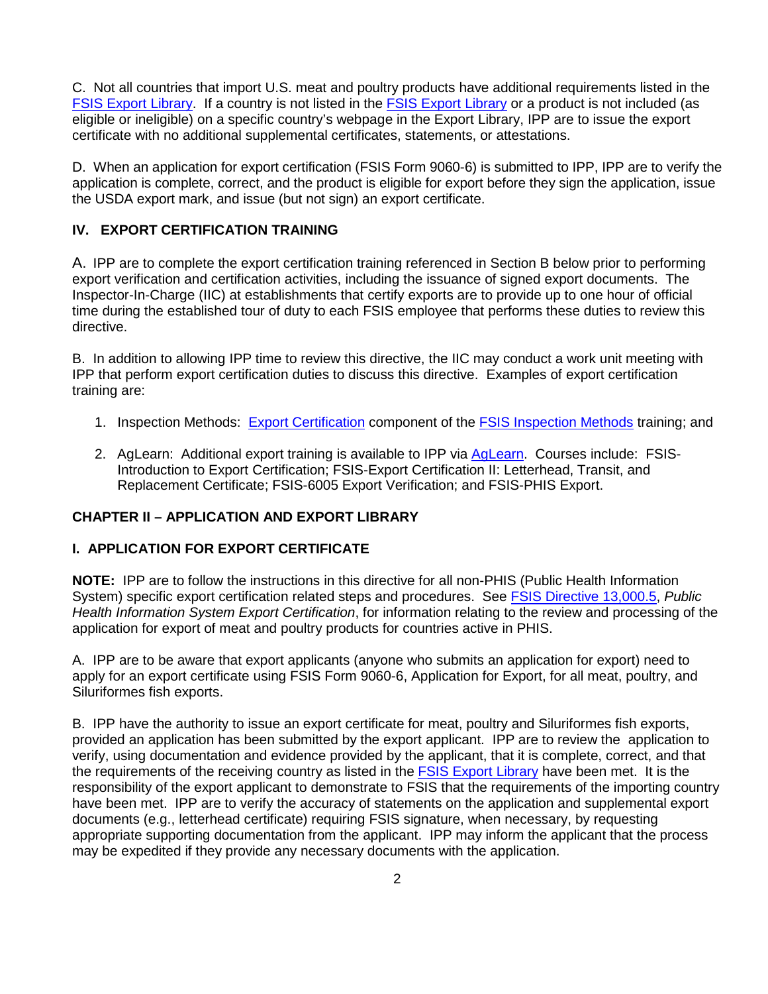C. Not all countries that import U.S. meat and poultry products have additional requirements listed in the certificate with no additional supplemental certificates, statements, or attestations. [FSIS Export Library.](https://www.fsis.usda.gov/wps/portal/fsis/topics/international-affairs/exporting-products/export-library-requirements-by-country) If a country is not listed in the [FSIS Export Library](https://www.fsis.usda.gov/wps/portal/fsis/topics/international-affairs/exporting-products/export-library-requirements-by-country) or a product is not included (as eligible or ineligible) on a specific country's webpage in the Export Library, IPP are to issue the export

certificate with no additional supplemental certificates, statements, or attestations.<br>D. When an application for export certification (FSIS Form 9060-6) is submitted to IPP, IPP are to verify the application is complete, correct, and the product is eligible for export before they sign the application, issue the USDA export mark, and issue (but not sign) an export certificate.

#### **IV. EXPORT CERTIFICATION TRAINING**

 export verification and certification activities, including the issuance of signed export documents. The time during the established tour of duty to each FSIS employee that performs these duties to review this A. IPP are to complete the export certification training referenced in Section B below prior to performing Inspector-In-Charge (IIC) at establishments that certify exports are to provide up to one hour of official directive.

 B. In addition to allowing IPP time to review this directive, the IIC may conduct a work unit meeting with IPP that perform export certification duties to discuss this directive. Examples of export certification training are:

- 1. Inspection Methods: Export Certification component of the FSIS Inspection Methods training; and
- 1. Inspection Methods: <u>Export Certification</u> component of the <u>FSIS Inspection Methods</u> training; and<br>2. AgLearn: Additional export training is available to IPP via <u>AgLearn</u>. Courses include: FSIS-Introduction to Export Certification; FSIS-Export Certification II: Letterhead, Transit, and Replacement Certificate; FSIS-6005 Export Verification; and FSIS-PHIS Export.

#### **CHAPTER II – APPLICATION AND EXPORT LIBRARY**

#### **I. APPLICATION FOR EXPORT CERTIFICATE**

 **NOTE:** IPP are to follow the instructions in this directive for all non-PHIS (Public Health Information System) specific export certification related steps and procedures. See [FSIS Directive 13,000.5,](https://www.fsis.usda.gov/wps/portal/fsis/topics/regulations/directives/13000-series) *Public*  application for export of meat and poultry products for countries active in PHIS. *Health Information System Export Certification*, for information relating to the review and processing of the

application for export of meat and poultry products for countries active in PHIS.<br>A. IPP are to be aware that export applicants (anyone who submits an application for export) need to apply for an export certificate using FSIS Form 9060-6, Application for Export, for all meat, poultry, and Siluriformes fish exports.

 B. IPP have the authority to issue an export certificate for meat, poultry and Siluriformes fish exports, provided an application has been submitted by the export applicant. IPP are to review the application to verify, using documentation and evidence provided by the applicant, that it is complete, correct, and that the requirements of the receiving country as listed in the **FSIS Export Library** have been met. It is the responsibility of the export applicant to demonstrate to FSIS that the requirements of the importing country have been met. IPP are to verify the accuracy of statements on the application and supplemental export documents (e.g., letterhead certificate) requiring FSIS signature, when necessary, by requesting appropriate supporting documentation from the applicant. IPP may inform the applicant that the process may be expedited if they provide any necessary documents with the application.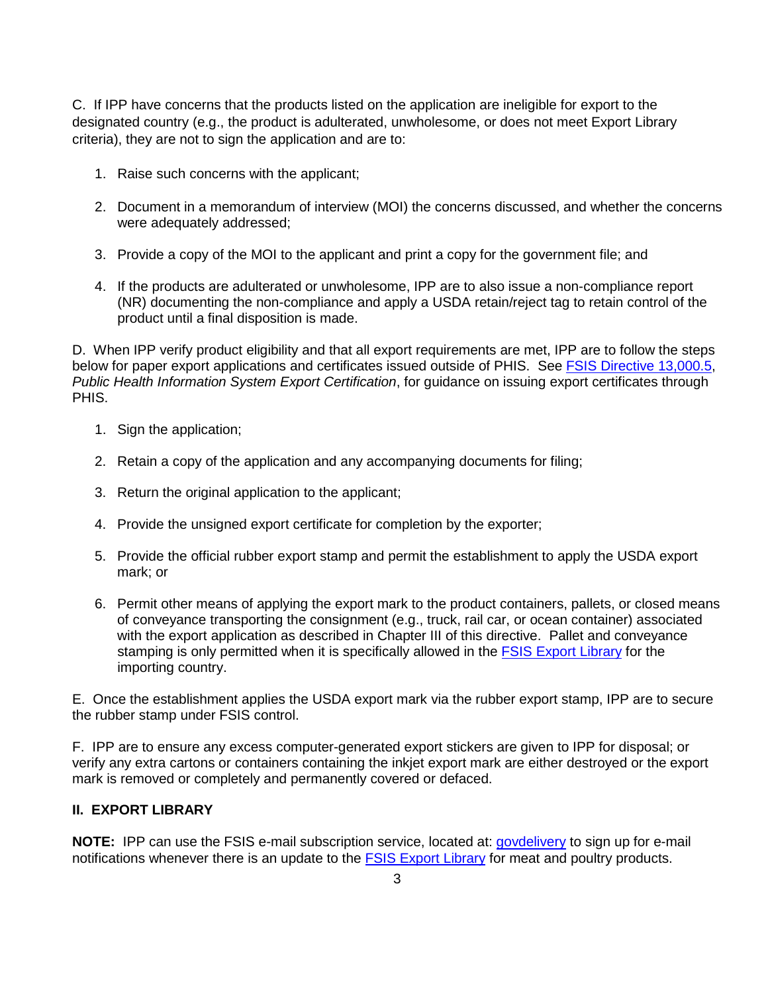C. If IPP have concerns that the products listed on the application are ineligible for export to the designated country (e.g., the product is adulterated, unwholesome, or does not meet Export Library criteria), they are not to sign the application and are to:

- 1. Raise such concerns with the applicant;
- were adequately addressed; 2. Document in a memorandum of interview (MOI) the concerns discussed, and whether the concerns
- were adequately addressed;<br>3. Provide a copy of the MOI to the applicant and print a copy for the government file; and
- (NR) documenting the non-compliance and apply a USDA retain/reject tag to retain control of the 4. If the products are adulterated or unwholesome, IPP are to also issue a non-compliance report product until a final disposition is made.

 D. When IPP verify product eligibility and that all export requirements are met, IPP are to follow the steps below for paper export applications and certificates issued outside of PHIS. See <u>FSIS Directive 13,000.5,</u> *Public Health Information System Export Certification*, for guidance on issuing export certificates through PHIS.

- 1. Sign the application;
- 2. Retain a copy of the application and any accompanying documents for filing;
- 3. Return the original application to the applicant;
- 4. Provide the unsigned export certificate for completion by the exporter;
- 5. Provide the official rubber export stamp and permit the establishment to apply the USDA export mark; or
- of conveyance transporting the consignment (e.g., truck, rail car, or ocean container) associated 6. Permit other means of applying the export mark to the product containers, pallets, or closed means with the export application as described in Chapter III of this directive. Pallet and conveyance stamping is only permitted when it is specifically allowed in the [FSIS Export Library](https://www.fsis.usda.gov/wps/portal/fsis/topics/international-affairs/exporting-products/export-library-requirements-by-country) for the importing country.

 E. Once the establishment applies the USDA export mark via the rubber export stamp, IPP are to secure the rubber stamp under FSIS control.

 verify any extra cartons or containers containing the inkjet export mark are either destroyed or the export F. IPP are to ensure any excess computer-generated export stickers are given to IPP for disposal; or mark is removed or completely and permanently covered or defaced.

#### **II. EXPORT LIBRARY**

**NOTE:** IPP can use the FSIS e-mail subscription service, located at: **govdelivery** to sign up for e-mail  notifications whenever there is an update to the [FSIS Export Library](https://www.fsis.usda.gov/wps/portal/fsis/topics/international-affairs/exporting-products/export-library-requirements-by-country) for meat and poultry products. 3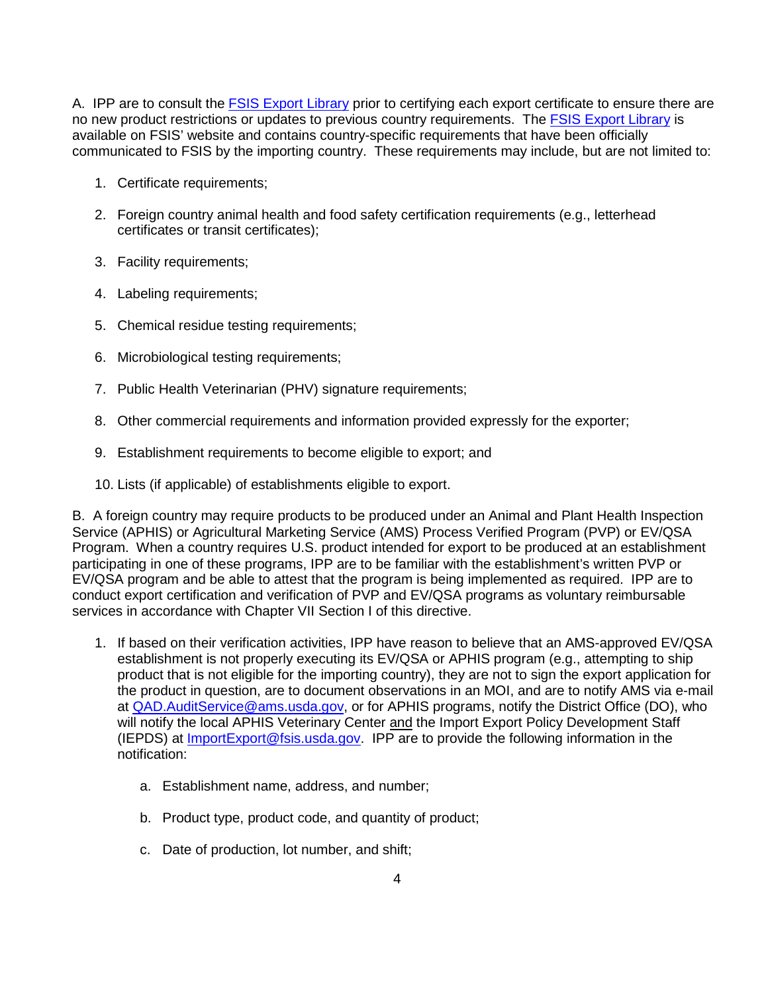A. IPP are to consult the *FSIS Export Library* prior to certifying each export certificate to ensure there are no new product restrictions or updates to previous country requirements. The **FSIS Export Library** is available on FSIS' website and contains country-specific requirements that have been officially communicated to FSIS by the importing country. These requirements may include, but are not limited to:

- 1. Certificate requirements;
- 2. Foreign country animal health and food safety certification requirements (e.g., letterhead certificates or transit certificates);
- 3. Facility requirements;
- 4. Labeling requirements;
- 5. Chemical residue testing requirements;
- 6. Microbiological testing requirements;
- 7. Public Health Veterinarian (PHV) signature requirements;
- 8. Other commercial requirements and information provided expressly for the exporter;
- 9. Establishment requirements to become eligible to export; and
- 10. Lists (if applicable) of establishments eligible to export.

 EV/QSA program and be able to attest that the program is being implemented as required. IPP are to services in accordance with Chapter VII Section I of this directive. B. A foreign country may require products to be produced under an Animal and Plant Health Inspection Service (APHIS) or Agricultural Marketing Service (AMS) Process Verified Program (PVP) or EV/QSA Program. When a country requires U.S. product intended for export to be produced at an establishment participating in one of these programs, IPP are to be familiar with the establishment's written PVP or conduct export certification and verification of PVP and EV/QSA programs as voluntary reimbursable

- product that is not eligible for the importing country), they are not to sign the export application for will notify the local APHIS Veterinary Center and the Import Export Policy Development Staff 1. If based on their verification activities, IPP have reason to believe that an AMS-approved EV/QSA establishment is not properly executing its EV/QSA or APHIS program (e.g., attempting to ship the product in question, are to document observations in an MOI, and are to notify AMS via e-mail at [QAD.AuditService@ams.usda.gov,](mailto:QAD.AuditService@ams.usda.gov) or for APHIS programs, notify the District Office (DO), who (IEPDS) at **ImportExport@fsis.usda.gov.** IPP are to provide the following information in the notification:
	- a. Establishment name, address, and number;
	- b. Product type, product code, and quantity of product;
	- c. Date of production, lot number, and shift;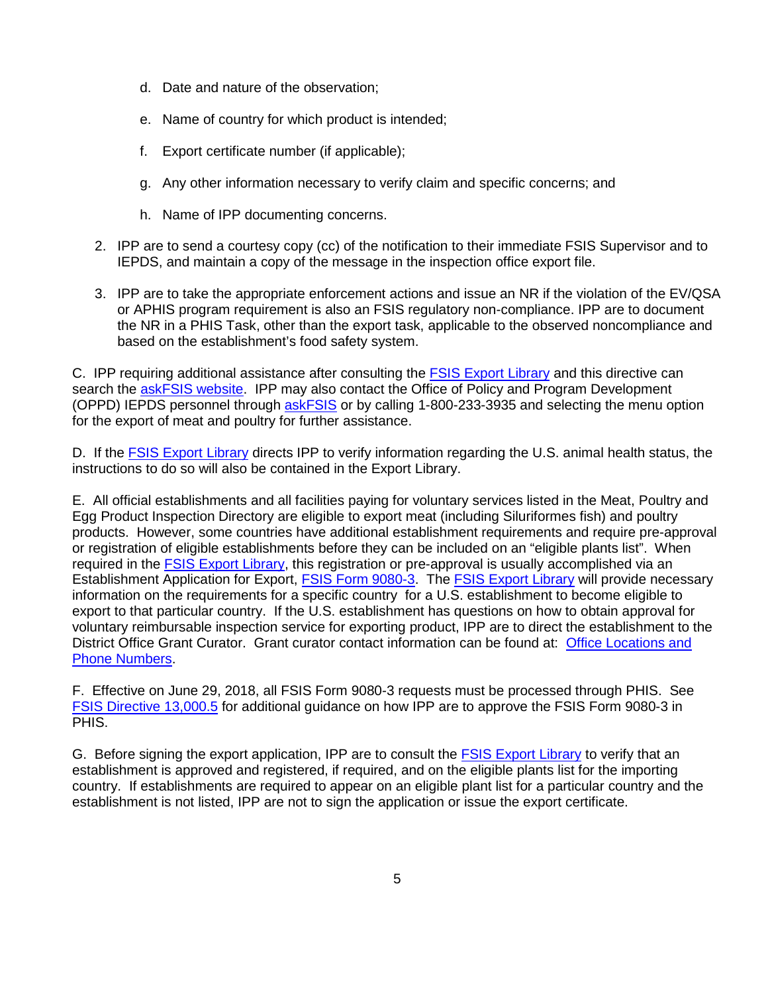- d. Date and nature of the observation;
- e. Name of country for which product is intended;
- f. Export certificate number (if applicable);
- g. Any other information necessary to verify claim and specific concerns; and
- h. Name of IPP documenting concerns.
- 2. IPP are to send a courtesy copy (cc) of the notification to their immediate FSIS Supervisor and to IEPDS, and maintain a copy of the message in the inspection office export file.
- 3. IPP are to take the appropriate enforcement actions and issue an NR if the violation of the EV/QSA or APHIS program requirement is also an FSIS regulatory non-compliance. IPP are to document the NR in a PHIS Task, other than the export task, applicable to the observed noncompliance and based on the establishment's food safety system.

(OPPD) IEPDS personnel through **askFSIS** or by calling 1-800-233-3935 and selecting the menu option C. IPP requiring additional assistance after consulting the [FSIS Export Library](https://www.fsis.usda.gov/wps/portal/fsis/topics/international-affairs/exporting-products/export-library-requirements-by-country) and this directive can search the [askFSIS website.](https://askfsis.custhelp.com/) IPP may also contact the Office of Policy and Program Development for the export of meat and poultry for further assistance.

D. If the **FSIS Export Library** directs IPP to verify information regarding the U.S. animal health status, the instructions to do so will also be contained in the Export Library.

 E. All official establishments and all facilities paying for voluntary services listed in the Meat, Poultry and Egg Product Inspection Directory are eligible to export meat (including Siluriformes fish) and poultry or registration of eligible establishments before they can be included on an "eligible plants list". When Establishment Application for Export, *FSIS Form 9080-3*. The *FSIS Export Library* will provide necessary information on the requirements for a specific country for a U.S. establishment to become eligible to export to that particular country. If the U.S. establishment has questions on how to obtain approval for [Phone Numbers.](https://www.fsis.usda.gov/wps/portal/informational/districtoffices) products. However, some countries have additional establishment requirements and require pre-approval required in the [FSIS Export Library,](https://www.fsis.usda.gov/wps/portal/fsis/topics/international-affairs/exporting-products/export-library-requirements-by-country) this registration or pre-approval is usually accomplished via an voluntary reimbursable inspection service for exporting product, IPP are to direct the establishment to the District Office Grant Curator. Grant curator contact information can be found at: [Office Locations and](https://www.fsis.usda.gov/wps/portal/informational/districtoffices) 

F. Effective on June 29, 2018, all FSIS Form 9080-3 requests must be processed through PHIS. See [FSIS Directive 13,000.5](https://www.fsis.usda.gov/wps/portal/fsis/topics/regulations/directives/13000-series) for additional guidance on how IPP are to approve the FSIS Form 9080-3 in PHIS.

G. Before signing the export application, IPP are to consult the **FSIS Export Library** to verify that an establishment is approved and registered, if required, and on the eligible plants list for the importing country. If establishments are required to appear on an eligible plant list for a particular country and the establishment is not listed, IPP are not to sign the application or issue the export certificate.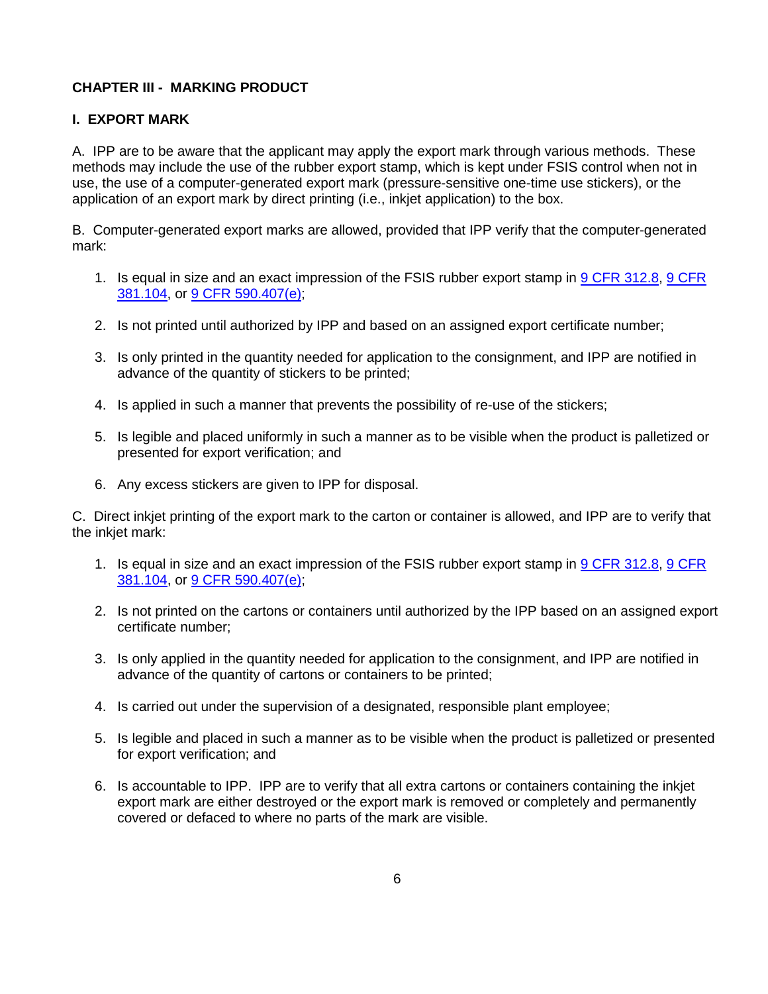## **CHAPTER III - MARKING PRODUCT**

#### **I. EXPORT MARK**

 A. IPP are to be aware that the applicant may apply the export mark through various methods. These use, the use of a computer-generated export mark (pressure-sensitive one-time use stickers), or the application of an export mark by direct printing (i.e., inkiet application) to the box. methods may include the use of the rubber export stamp, which is kept under FSIS control when not in

application of an export mark by direct printing (i.e., inkjet application) to the box.<br>B. Computer-generated export marks are allowed, provided that IPP verify that the computer-generated mark:

- 381.104, or 9 CFR 590.407(e); 1. Is equal in size and an exact impression of the FSIS rubber export stamp in [9 CFR 312.8,](https://www.ecfr.gov/cgi-bin/text-idx?SID=4ca2359c16fedcba3d2fd59ef1ef9f76&mc=true&node=se9.2.312_18&rgn=div8) [9 CFR](https://www.ecfr.gov/cgi-bin/text-idx?SID=4ca2359c16fedcba3d2fd59ef1ef9f76&mc=true&node=se9.2.381_1104&rgn=div8)
- 
- advance of the quantity of stickers to be printed; <u>381.104</u>, or <u>9 CFR 590.407(e)</u>;<br>2. Is not printed until authorized by IPP and based on an assigned export certificate number;<br>3. Is only printed in the quantity needed for application to the consignment, and IPP are noti
- 4. Is applied in such a manner that prevents the possibility of re-use of the stickers;
- 5. Is legible and placed uniformly in such a manner as to be visible when the product is palletized or presented for export verification; and
- 6. Any excess stickers are given to IPP for disposal.

 C. Direct inkjet printing of the export mark to the carton or container is allowed, and IPP are to verify that the inkjet mark:

- 1. Is equal in size and an exact impression of the FSIS rubber export stamp in [9 CFR 312.8,](https://www.ecfr.gov/cgi-bin/text-idx?SID=4ca2359c16fedcba3d2fd59ef1ef9f76&mc=true&node=se9.2.312_18&rgn=div8) 9 CFR [381.104,](https://www.ecfr.gov/cgi-bin/text-idx?SID=4ca2359c16fedcba3d2fd59ef1ef9f76&mc=true&node=se9.2.381_1104&rgn=div8) or 9 CFR 590.407(e):
- certificate number: 2. Is not printed on the cartons or containers until authorized by the IPP based on an assigned export
- advance of the quantity of cartons or containers to be printed; 3. Is only applied in the quantity needed for application to the consignment, and IPP are notified in
- 4. Is carried out under the supervision of a designated, responsible plant employee;
- 5. Is legible and placed in such a manner as to be visible when the product is palletized or presented for export verification; and
- 6. Is accountable to IPP. IPP are to verify that all extra cartons or containers containing the inkjet export mark are either destroyed or the export mark is removed or completely and permanently covered or defaced to where no parts of the mark are visible.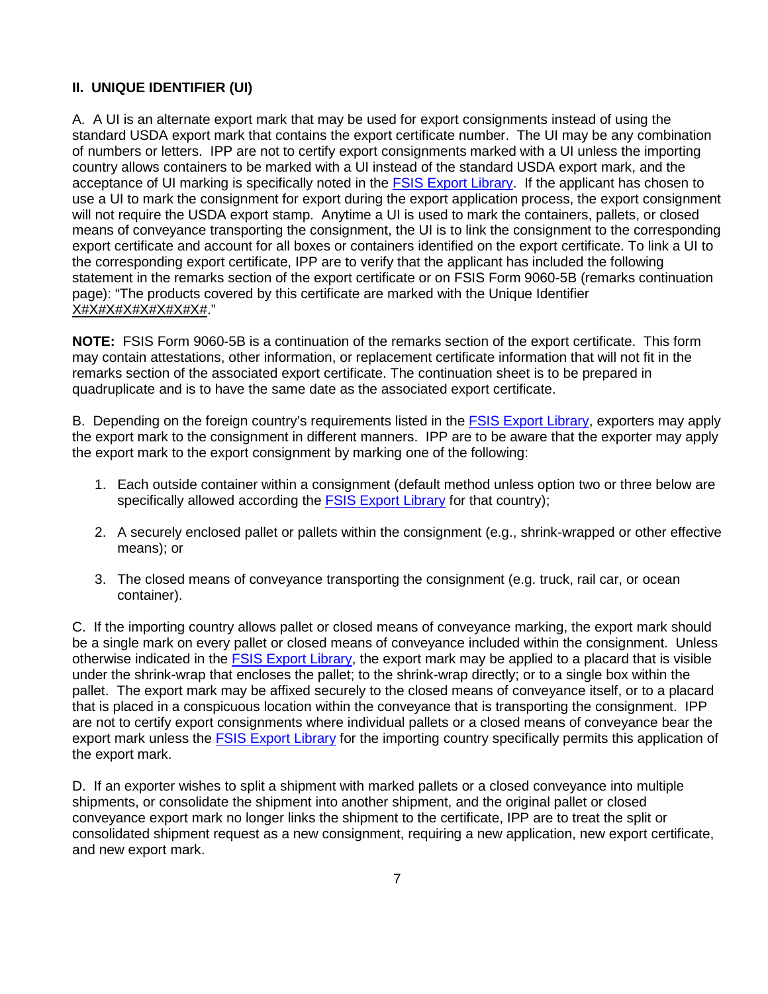#### **II. UNIQUE IDENTIFIER (UI)**

 A. A UI is an alternate export mark that may be used for export consignments instead of using the standard USDA export mark that contains the export certificate number. The UI may be any combination of numbers or letters. IPP are not to certify export consignments marked with a UI unless the importing country allows containers to be marked with a UI instead of the standard USDA export mark, and the acceptance of UI marking is specifically noted in the **FSIS Export Library.** If the applicant has chosen to use a UI to mark the consignment for export during the export application process, the export consignment means of conveyance transporting the consignment, the UI is to link the consignment to the corresponding export certificate and account for all boxes or containers identified on the export certificate. To link a UI to the corresponding export certificate, IPP are to verify that the applicant has included the following <u>X#X#X#X#X#X#X#</u>." will not require the USDA export stamp. Anytime a UI is used to mark the containers, pallets, or closed statement in the remarks section of the export certificate or on FSIS Form 9060-5B (remarks continuation page): "The products covered by this certificate are marked with the Unique Identifier

 **NOTE:** FSIS Form 9060-5B is a continuation of the remarks section of the export certificate. This form may contain attestations, other information, or replacement certificate information that will not fit in the remarks section of the associated export certificate. The continuation sheet is to be prepared in quadruplicate and is to have the same date as the associated export certificate.

B. Depending on the foreign country's requirements listed in the **FSIS Export Library**, exporters may apply the export mark to the consignment in different manners. IPP are to be aware that the exporter may apply the export mark to the export consignment by marking one of the following:

- 1. Each outside container within a consignment (default method unless option two or three below are specifically allowed according the [FSIS Export Library](https://www.fsis.usda.gov/wps/portal/fsis/topics/international-affairs/exporting-products/export-library-requirements-by-country) for that country);
- 2. A securely enclosed pallet or pallets within the consignment (e.g., shrink-wrapped or other effective means); or
- 3. The closed means of conveyance transporting the consignment (e.g. truck, rail car, or ocean container).

 container). C. If the importing country allows pallet or closed means of conveyance marking, the export mark should be a single mark on every pallet or closed means of conveyance included within the consignment. Unless otherwise indicated in the ESIS Export Library, the export mark may be applied to a placard that is visible pallet. The export mark may be affixed securely to the closed means of conveyance itself, or to a placard that is placed in a conspicuous location within the conveyance that is transporting the consignment. IPP under the shrink-wrap that encloses the pallet; to the shrink-wrap directly; or to a single box within the are not to certify export consignments where individual pallets or a closed means of conveyance bear the export mark unless the [FSIS Export Library](https://www.fsis.usda.gov/wps/portal/fsis/topics/international-affairs/exporting-products/export-library-requirements-by-country) for the importing country specifically permits this application of the export mark.

 D. If an exporter wishes to split a shipment with marked pallets or a closed conveyance into multiple shipments, or consolidate the shipment into another shipment, and the original pallet or closed conveyance export mark no longer links the shipment to the certificate, IPP are to treat the split or consolidated shipment request as a new consignment, requiring a new application, new export certificate, and new export mark.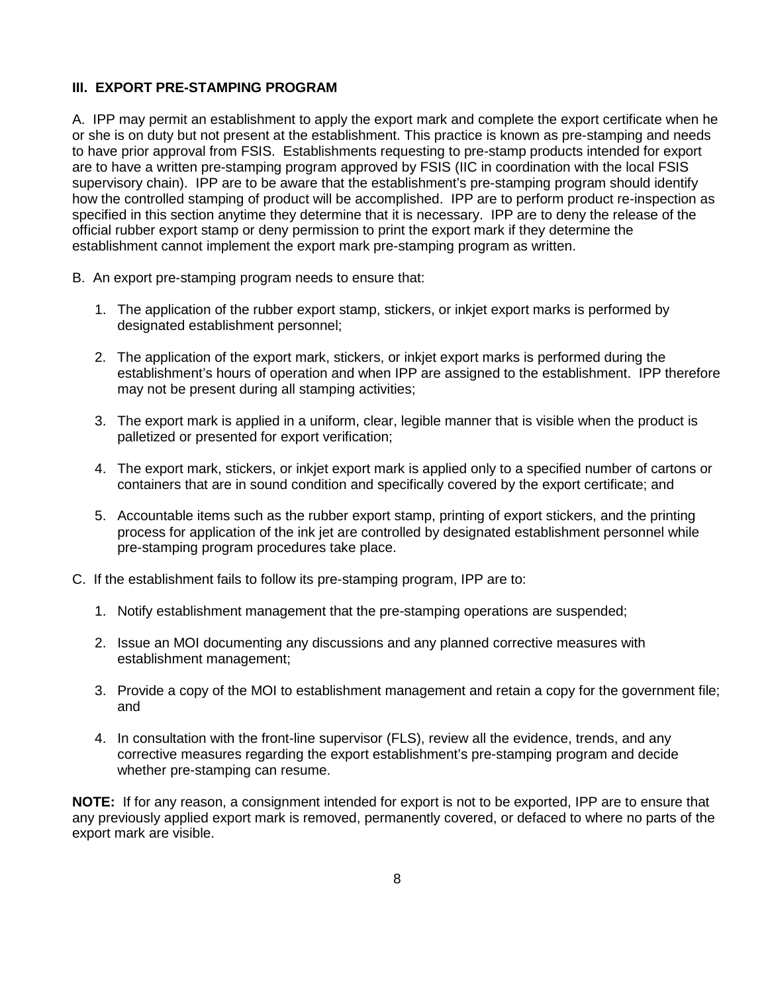#### **III. EXPORT PRE-STAMPING PROGRAM**

 A. IPP may permit an establishment to apply the export mark and complete the export certificate when he or she is on duty but not present at the establishment. This practice is known as pre-stamping and needs to have prior approval from FSIS. Establishments requesting to pre-stamp products intended for export how the controlled stamping of product will be accomplished. IPP are to perform product re-inspection as specified in this section anytime they determine that it is necessary. IPP are to deny the release of the are to have a written pre-stamping program approved by FSIS (IIC in coordination with the local FSIS supervisory chain). IPP are to be aware that the establishment's pre-stamping program should identify official rubber export stamp or deny permission to print the export mark if they determine the establishment cannot implement the export mark pre-stamping program as written.

- B. An export pre-stamping program needs to ensure that:
	- designated establishment personnel; 1. The application of the rubber export stamp, stickers, or inkjet export marks is performed by
	- may not be present during all stamping activities; 2. The application of the export mark, stickers, or inkjet export marks is performed during the establishment's hours of operation and when IPP are assigned to the establishment. IPP therefore
	- may not be present during all stamping activities;<br>3. The export mark is applied in a uniform, clear, legible manner that is visible when the product is palletized or presented for export verification:
	- palletized or presented for export verification; 4. The export mark, stickers, or inkjet export mark is applied only to a specified number of cartons or containers that are in sound condition and specifically covered by the export certificate; and
	- 5. Accountable items such as the rubber export stamp, printing of export stickers, and the printing process for application of the ink jet are controlled by designated establishment personnel while pre-stamping program procedures take place.
- C. If the establishment fails to follow its pre-stamping program, IPP are to:
	- 1. Notify establishment management that the pre-stamping operations are suspended;
	- 2. Issue an MOI documenting any discussions and any planned corrective measures with establishment management;
	- 3. Provide a copy of the MOI to establishment management and retain a copy for the government file; and
	- 4. In consultation with the front-line supervisor (FLS), review all the evidence, trends, and any corrective measures regarding the export establishment's pre-stamping program and decide whether pre-stamping can resume.

 **NOTE:** If for any reason, a consignment intended for export is not to be exported, IPP are to ensure that export mark are visible. any previously applied export mark is removed, permanently covered, or defaced to where no parts of the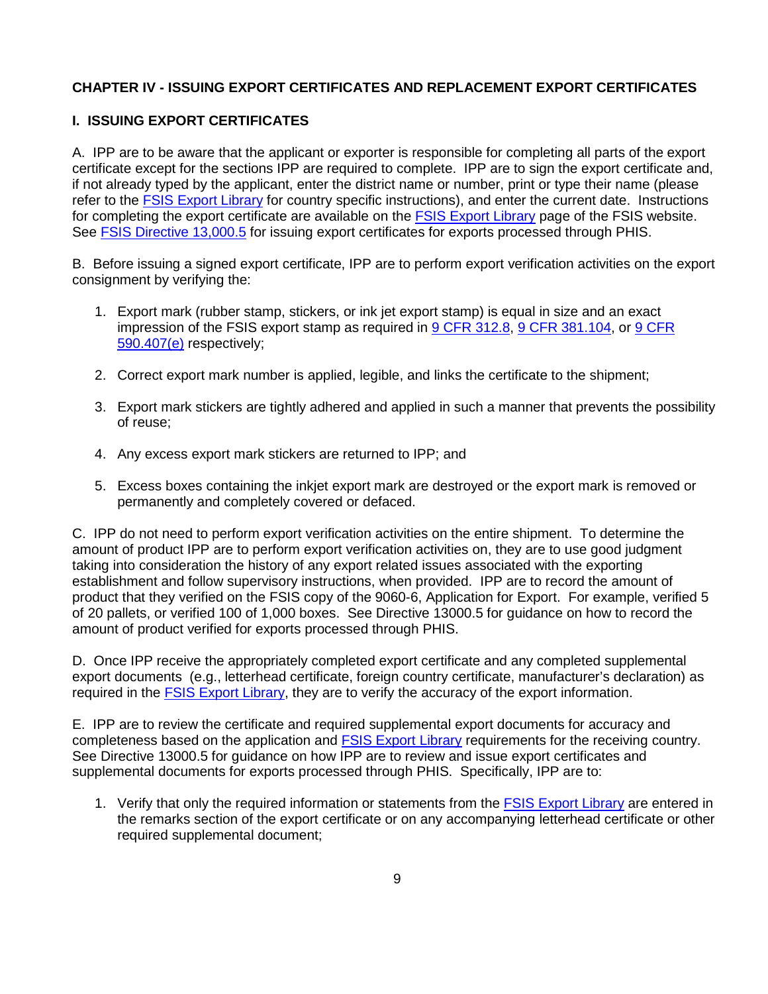#### **CHAPTER IV - ISSUING EXPORT CERTIFICATES AND REPLACEMENT EXPORT CERTIFICATES**

#### **I. ISSUING EXPORT CERTIFICATES**

 A. IPP are to be aware that the applicant or exporter is responsible for completing all parts of the export certificate except for the sections IPP are required to complete. IPP are to sign the export certificate and, for completing the export certificate are available on the FSIS Export Library page of the FSIS website. if not already typed by the applicant, enter the district name or number, print or type their name (please refer to the [FSIS Export Library](https://www.fsis.usda.gov/wps/portal/fsis/topics/international-affairs/exporting-products/export-library-requirements-by-country) for country specific instructions), and enter the current date. Instructions See [FSIS Directive 13,000.5](https://www.fsis.usda.gov/wps/portal/fsis/topics/regulations/directives/13000-series) for issuing export certificates for exports processed through PHIS.

 B. Before issuing a signed export certificate, IPP are to perform export verification activities on the export consignment by verifying the:

- consignment by verifying the:<br>1. Export mark (rubber stamp, stickers, or ink jet export stamp) is equal in size and an exact impression of the FSIS export stamp as required in [9 CFR 312.8,](https://www.ecfr.gov/cgi-bin/text-idx?SID=4ca2359c16fedcba3d2fd59ef1ef9f76&mc=true&node=se9.2.312_18&rgn=div8) [9 CFR 381.104,](https://www.ecfr.gov/cgi-bin/text-idx?SID=4ca2359c16fedcba3d2fd59ef1ef9f76&mc=true&node=se9.2.381_1104&rgn=div8) or [9 CFR](https://www.ecfr.gov/cgi-bin/text-idx?SID=aa23a4dc5b510f3fbb06cfbf542892a3&mc=true&node=se9.2.590_1407&rgn=div8)  [590.407\(e\)](https://www.ecfr.gov/cgi-bin/text-idx?SID=aa23a4dc5b510f3fbb06cfbf542892a3&mc=true&node=se9.2.590_1407&rgn=div8) respectively;
	- 2. Correct export mark number is applied, legible, and links the certificate to the shipment;
	- 3. Export mark stickers are tightly adhered and applied in such a manner that prevents the possibility of reuse;
	- 4. Any excess export mark stickers are returned to IPP; and
	- permanently and completely covered or defaced. 5. Excess boxes containing the inkjet export mark are destroyed or the export mark is removed or

 C. IPP do not need to perform export verification activities on the entire shipment. To determine the of 20 pallets, or verified 100 of 1,000 boxes. See Directive 13000.5 for guidance on how to record the amount of product verified for exports processed through PHIS. amount of product IPP are to perform export verification activities on, they are to use good judgment taking into consideration the history of any export related issues associated with the exporting establishment and follow supervisory instructions, when provided. IPP are to record the amount of product that they verified on the FSIS copy of the 9060-6, Application for Export. For example, verified 5

amount of product verified for exports processed through PHIS.<br>D. Once IPP receive the appropriately completed export certificate and any completed supplemental export documents (e.g., letterhead certificate, foreign country certificate, manufacturer's declaration) as required in the FSIS Export Library, they are to verify the accuracy of the export information.

required in the <u>FSIS Export Library</u>, they are to verify the accuracy of the export information.<br>E. IPP are to review the certificate and required supplemental export documents for accuracy and See Directive 13000.5 for guidance on how IPP are to review and issue export certificates and supplemental documents for exports processed through PHIS. Specifically, IPP are to: completeness based on the application and [FSIS Export Library](https://www.fsis.usda.gov/wps/portal/fsis/topics/international-affairs/exporting-products/export-library-requirements-by-country) requirements for the receiving country.

1. Verify that only the required information or statements from the **FSIS Export Library** are entered in the remarks section of the export certificate or on any accompanying letterhead certificate or other required supplemental document;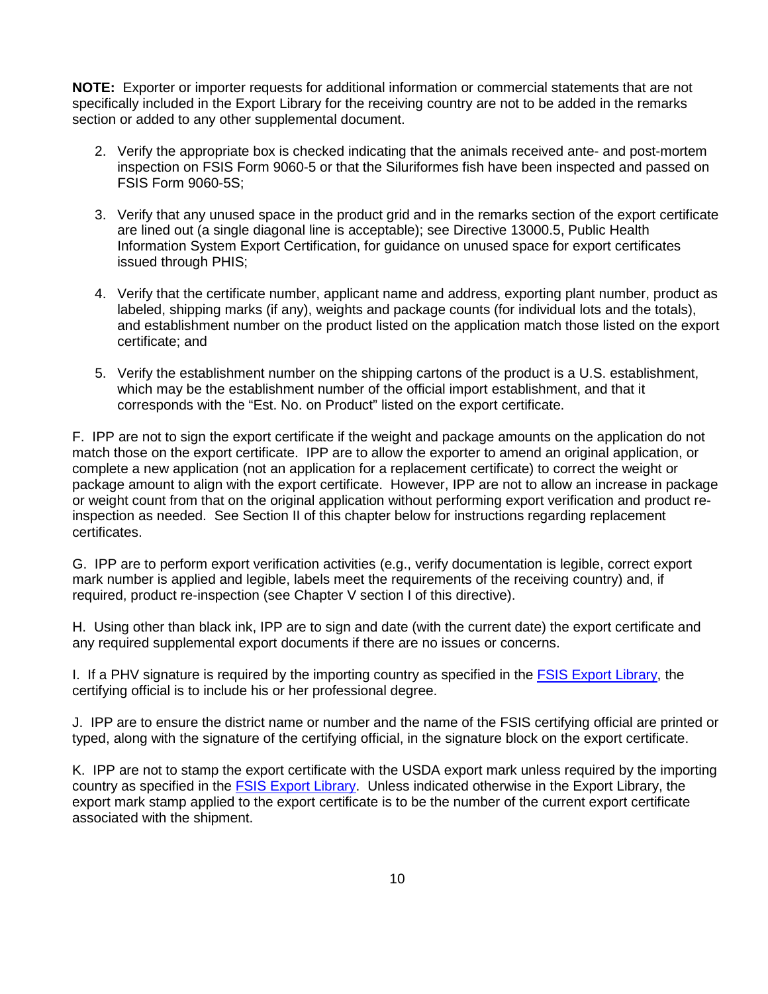**NOTE:** Exporter or importer requests for additional information or commercial statements that are not specifically included in the Export Library for the receiving country are not to be added in the remarks section or added to any other supplemental document.

- 2. Verify the appropriate box is checked indicating that the animals received ante- and post-mortem FSIS Form 9060-5S; inspection on FSIS Form 9060-5 or that the Siluriformes fish have been inspected and passed on
- 3. Verify that any unused space in the product grid and in the remarks section of the export certificate Information System Export Certification, for guidance on unused space for export certificates are lined out (a single diagonal line is acceptable); see Directive 13000.5, Public Health issued through PHIS;
- labeled, shipping marks (if any), weights and package counts (for individual lots and the totals), 4. Verify that the certificate number, applicant name and address, exporting plant number, product as and establishment number on the product listed on the application match those listed on the export certificate; and
- corresponds with the "Est. No. on Product" listed on the export certificate. 5. Verify the establishment number on the shipping cartons of the product is a U.S. establishment, which may be the establishment number of the official import establishment, and that it

 match those on the export certificate. IPP are to allow the exporter to amend an original application, or inspection as needed. See Section II of this chapter below for instructions regarding replacement F. IPP are not to sign the export certificate if the weight and package amounts on the application do not complete a new application (not an application for a replacement certificate) to correct the weight or package amount to align with the export certificate. However, IPP are not to allow an increase in package or weight count from that on the original application without performing export verification and product recertificates.

 G. IPP are to perform export verification activities (e.g., verify documentation is legible, correct export mark number is applied and legible, labels meet the requirements of the receiving country) and, if required, product re-inspection (see Chapter V section I of this directive).

 H. Using other than black ink, IPP are to sign and date (with the current date) the export certificate and any required supplemental export documents if there are no issues or concerns.

I. If a PHV signature is required by the importing country as specified in the [FSIS Export Library,](https://www.fsis.usda.gov/wps/portal/fsis/topics/international-affairs/exporting-products/export-library-requirements-by-country) the certifying official is to include his or her professional degree.

 J. IPP are to ensure the district name or number and the name of the FSIS certifying official are printed or typed, along with the signature of the certifying official, in the signature block on the export certificate.

 K. IPP are not to stamp the export certificate with the USDA export mark unless required by the importing country as specified in the *FSIS Export Library*. Unless indicated otherwise in the Export Library, the export mark stamp applied to the export certificate is to be the number of the current export certificate associated with the shipment.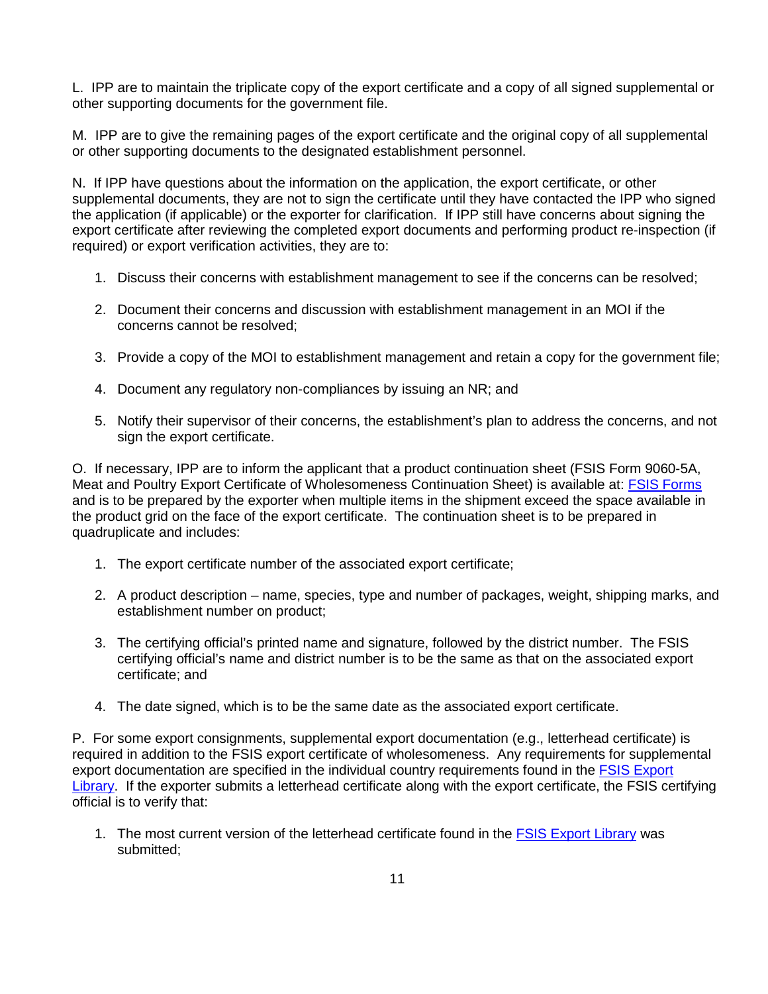L. IPP are to maintain the triplicate copy of the export certificate and a copy of all signed supplemental or other supporting documents for the government file.

 M. IPP are to give the remaining pages of the export certificate and the original copy of all supplemental or other supporting documents to the designated establishment personnel.

 supplemental documents, they are not to sign the certificate until they have contacted the IPP who signed the application (if applicable) or the exporter for clarification. If IPP still have concerns about signing the N. If IPP have questions about the information on the application, the export certificate, or other export certificate after reviewing the completed export documents and performing product re-inspection (if required) or export verification activities, they are to:

- 1. Discuss their concerns with establishment management to see if the concerns can be resolved:
- concerns cannot be resolved; 2. Document their concerns and discussion with establishment management in an MOI if the
- 3. Provide a copy of the MOI to establishment management and retain a copy for the government file;
- 4. Document any regulatory non-compliances by issuing an NR; and
- 5. Notify their supervisor of their concerns, the establishment's plan to address the concerns, and not sign the export certificate.

 O. If necessary, IPP are to inform the applicant that a product continuation sheet (FSIS Form 9060-5A, and is to be prepared by the exporter when multiple items in the shipment exceed the space available in the product grid on the face of the export certificate. The continuation sheet is to be prepared in Meat and Poultry Export Certificate of Wholesomeness Continuation Sheet) is available at: [FSIS Forms](https://www.fsis.usda.gov/wps/portal/fsis/forms/fsis-forms)  quadruplicate and includes:

- 1. The export certificate number of the associated export certificate;
- 2. A product description name, species, type and number of packages, weight, shipping marks, and establishment number on product;
- 3. The certifying official's printed name and signature, followed by the district number. The FSIS certifying official's name and district number is to be the same as that on the associated export certificate; and
- 4. The date signed, which is to be the same date as the associated export certificate.

 required in addition to the FSIS export certificate of wholesomeness. Any requirements for supplemental [Library.](https://www.fsis.usda.gov/wps/portal/fsis/topics/international-affairs/exporting-products/export-library-requirements-by-country) If the exporter submits a letterhead certificate along with the export certificate, the FSIS certifying P. For some export consignments, supplemental export documentation (e.g., letterhead certificate) is export documentation are specified in the individual country requirements found in the [FSIS Export](https://www.fsis.usda.gov/wps/portal/fsis/topics/international-affairs/exporting-products/export-library-requirements-by-country)  official is to verify that:

submitted; 1. The most current version of the letterhead certificate found in the [FSIS Export Library](https://www.fsis.usda.gov/wps/portal/fsis/topics/international-affairs/exporting-products/export-library-requirements-by-country) was submitted;<br> 11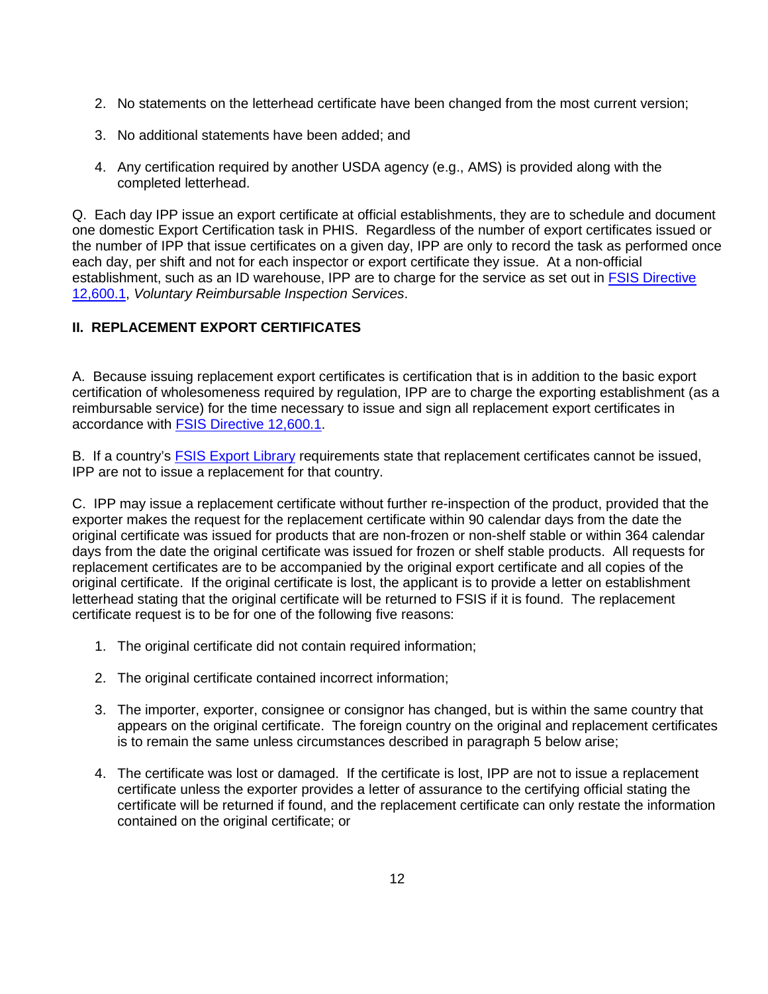- 2. No statements on the letterhead certificate have been changed from the most current version;<br>3. No additional statements have been added; and
- 3. No additional statements have been added; and
- 4. Any certification required by another USDA agency (e.g., AMS) is provided along with the completed letterhead.

 the number of IPP that issue certificates on a given day, IPP are only to record the task as performed once each day, per shift and not for each inspector or export certificate they issue. At a non-official establishment, such as an ID warehouse, IPP are to charge for the service as set out in **FSIS Directive** Q. Each day IPP issue an export certificate at official establishments, they are to schedule and document one domestic Export Certification task in PHIS. Regardless of the number of export certificates issued or [12,600.1,](https://www.fsis.usda.gov/wps/portal/fsis/topics/regulations/directives/12000-series) *Voluntary Reimbursable Inspection Services*.

#### **II. REPLACEMENT EXPORT CERTIFICATES**

 A. Because issuing replacement export certificates is certification that is in addition to the basic export reimbursable service) for the time necessary to issue and sign all replacement export certificates in accordance with FSIS Directive 12,600.1. certification of wholesomeness required by regulation, IPP are to charge the exporting establishment (as a

accordance with <u>FSIS Directive 12,600.1</u>.<br>B. If a country's <u>FSIS Export Library</u> requirements state that replacement certificates cannot be issued, IPP are not to issue a replacement for that country.

 C. IPP may issue a replacement certificate without further re-inspection of the product, provided that the days from the date the original certificate was issued for frozen or shelf stable products. All requests for replacement certificates are to be accompanied by the original export certificate and all copies of the letterhead stating that the original certificate will be returned to FSIS if it is found. The replacement certificate request is to be for one of the following five reasons: exporter makes the request for the replacement certificate within 90 calendar days from the date the original certificate was issued for products that are non-frozen or non-shelf stable or within 364 calendar original certificate. If the original certificate is lost, the applicant is to provide a letter on establishment

- 1. The original certificate did not contain required information;
- 2. The original certificate contained incorrect information;
- appears on the original certificate. The foreign country on the original and replacement certificates 3. The importer, exporter, consignee or consignor has changed, but is within the same country that is to remain the same unless circumstances described in paragraph 5 below arise;
- 4. The certificate was lost or damaged. If the certificate is lost, IPP are not to issue a replacement certificate unless the exporter provides a letter of assurance to the certifying official stating the certificate will be returned if found, and the replacement certificate can only restate the information contained on the original certificate; or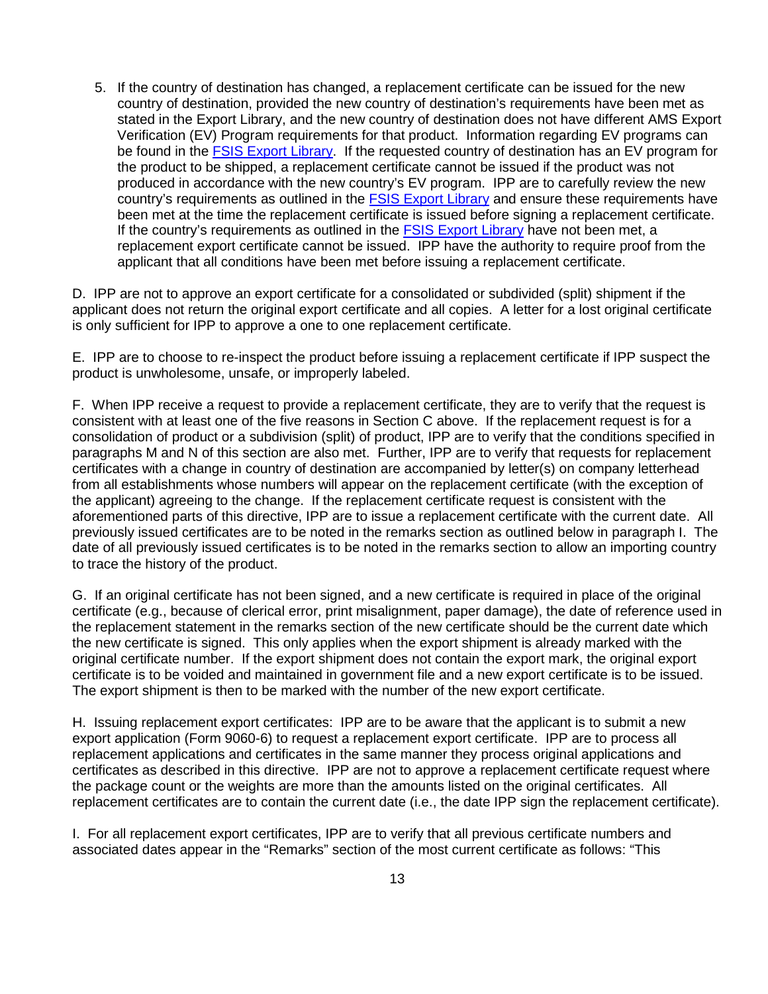Verification (EV) Program requirements for that product. Information regarding EV programs can be found in the ESIS Export Library. If the requested country of destination has an EV program for the product to be shipped, a replacement certificate cannot be issued if the product was not produced in accordance with the new country's EV program. IPP are to carefully review the new been met at the time the replacement certificate is issued before signing a replacement certificate. replacement export certificate cannot be issued. IPP have the authority to require proof from the 5. If the country of destination has changed, a replacement certificate can be issued for the new country of destination, provided the new country of destination's requirements have been met as stated in the Export Library, and the new country of destination does not have different AMS Export country's requirements as outlined in the **FSIS Export Library** and ensure these requirements have If the country's requirements as outlined in the [FSIS Export Library](https://www.fsis.usda.gov/wps/portal/fsis/topics/international-affairs/exporting-products/export-library-requirements-by-country) have not been met, a applicant that all conditions have been met before issuing a replacement certificate.

 D. IPP are not to approve an export certificate for a consolidated or subdivided (split) shipment if the is only sufficient for IPP to approve a one to one replacement certificate. applicant does not return the original export certificate and all copies. A letter for a lost original certificate

 E. IPP are to choose to re-inspect the product before issuing a replacement certificate if IPP suspect the product is unwholesome, unsafe, or improperly labeled.

 consolidation of product or a subdivision (split) of product, IPP are to verify that the conditions specified in paragraphs M and N of this section are also met. Further, IPP are to verify that requests for replacement certificates with a change in country of destination are accompanied by letter(s) on company letterhead the applicant) agreeing to the change. If the replacement certificate request is consistent with the previously issued certificates are to be noted in the remarks section as outlined below in paragraph I. The date of all previously issued certificates is to be noted in the remarks section to allow an importing country to trace the history of the product. F. When IPP receive a request to provide a replacement certificate, they are to verify that the request is consistent with at least one of the five reasons in Section C above. If the replacement request is for a from all establishments whose numbers will appear on the replacement certificate (with the exception of aforementioned parts of this directive, IPP are to issue a replacement certificate with the current date. All

 the replacement statement in the remarks section of the new certificate should be the current date which the new certificate is signed. This only applies when the export shipment is already marked with the original certificate number. If the export shipment does not contain the export mark, the original export certificate is to be voided and maintained in government file and a new export certificate is to be issued. The export shipment is then to be marked with the number of the new export certificate. G. If an original certificate has not been signed, and a new certificate is required in place of the original certificate (e.g., because of clerical error, print misalignment, paper damage), the date of reference used in

 H. Issuing replacement export certificates: IPP are to be aware that the applicant is to submit a new export application (Form 9060-6) to request a replacement export certificate. IPP are to process all certificates as described in this directive. IPP are not to approve a replacement certificate request where the package count or the weights are more than the amounts listed on the original certificates. All replacement certificates are to contain the current date (i.e., the date IPP sign the replacement certificate). replacement applications and certificates in the same manner they process original applications and

I. For all replacement export certificates, IPP are to verify that all previous certificate numbers and associated dates appear in the "Remarks" section of the most current certificate as follows: "This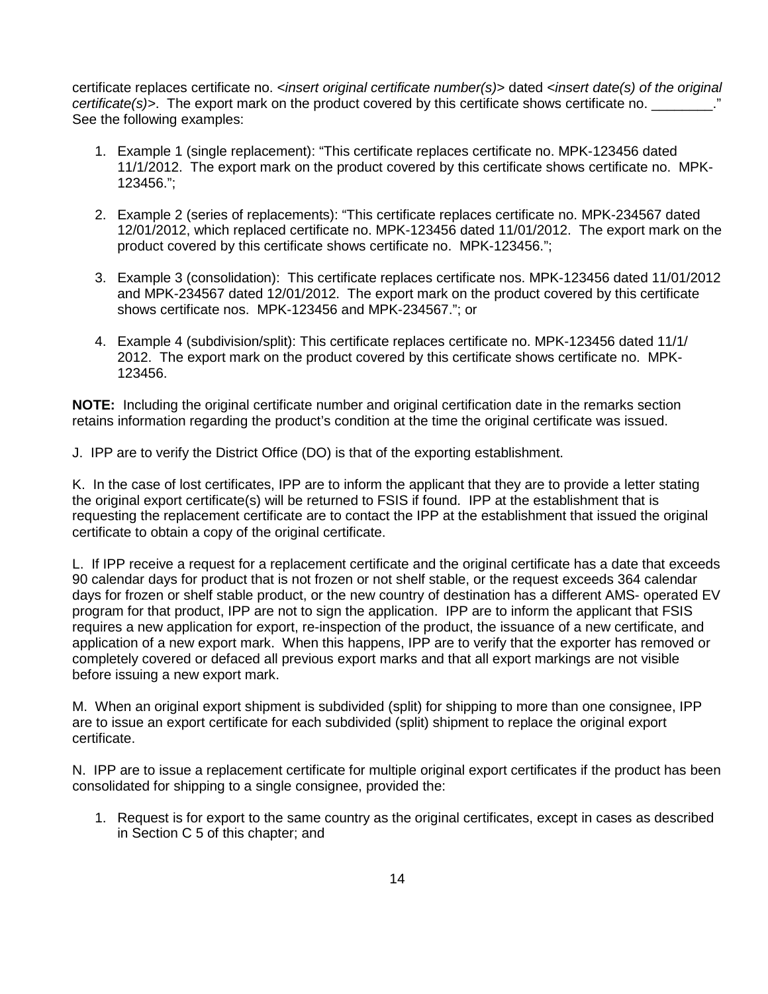certificate replaces certificate no. *<insert original certificate number(s)>* dated *<insert date(s) of the original certificate(s)>*. The export mark on the product covered by this certificate shows certificate no. \_\_\_\_\_\_\_\_\_.<sup>"</sup><br>See the following examples:

- 11/1/2012. The export mark on the product covered by this certificate shows certificate no. MPK-1. Example 1 (single replacement): "This certificate replaces certificate no. MPK-123456 dated 123456.";
- 12/01/2012, which replaced certificate no. MPK-123456 dated 11/01/2012. The export mark on the product covered by this certificate shows certificate no. MPK-123456."; 2. Example 2 (series of replacements): "This certificate replaces certificate no. MPK-234567 dated
- 3. Example 3 (consolidation): This certificate replaces certificate nos. MPK-123456 dated 11/01/2012 and MPK-234567 dated 12/01/2012. The export mark on the product covered by this certificate shows certificate nos. MPK-123456 and MPK-234567."; or
- 2012. The export mark on the product covered by this certificate shows certificate no. MPK-4. Example 4 (subdivision/split): This certificate replaces certificate no. MPK-123456 dated 11/1/ 123456.

 **NOTE:** Including the original certificate number and original certification date in the remarks section retains information regarding the product's condition at the time the original certificate was issued.<br>J. IPP are to verify the District Office (DO) is that of the exporting establishment.

J. IPP are to verify the District Office (DO) is that of the exporting establishment.

 K. In the case of lost certificates, IPP are to inform the applicant that they are to provide a letter stating the original export certificate(s) will be returned to FSIS if found. IPP at the establishment that is requesting the replacement certificate are to contact the IPP at the establishment that issued the original certificate to obtain a copy of the original certificate.

 L. If IPP receive a request for a replacement certificate and the original certificate has a date that exceeds 90 calendar days for product that is not frozen or not shelf stable, or the request exceeds 364 calendar days for frozen or shelf stable product, or the new country of destination has a different AMS- operated EV program for that product, IPP are not to sign the application. IPP are to inform the applicant that FSIS application of a new export mark. When this happens, IPP are to verify that the exporter has removed or completely covered or defaced all previous export marks and that all export markings are not visible requires a new application for export, re-inspection of the product, the issuance of a new certificate, and before issuing a new export mark.

 M. When an original export shipment is subdivided (split) for shipping to more than one consignee, IPP certificate. are to issue an export certificate for each subdivided (split) shipment to replace the original export

certificate.<br>N. IPP are to issue a replacement certificate for multiple original export certificates if the product has been consolidated for shipping to a single consignee, provided the:

 in Section C 5 of this chapter; and 1. Request is for export to the same country as the original certificates, except in cases as described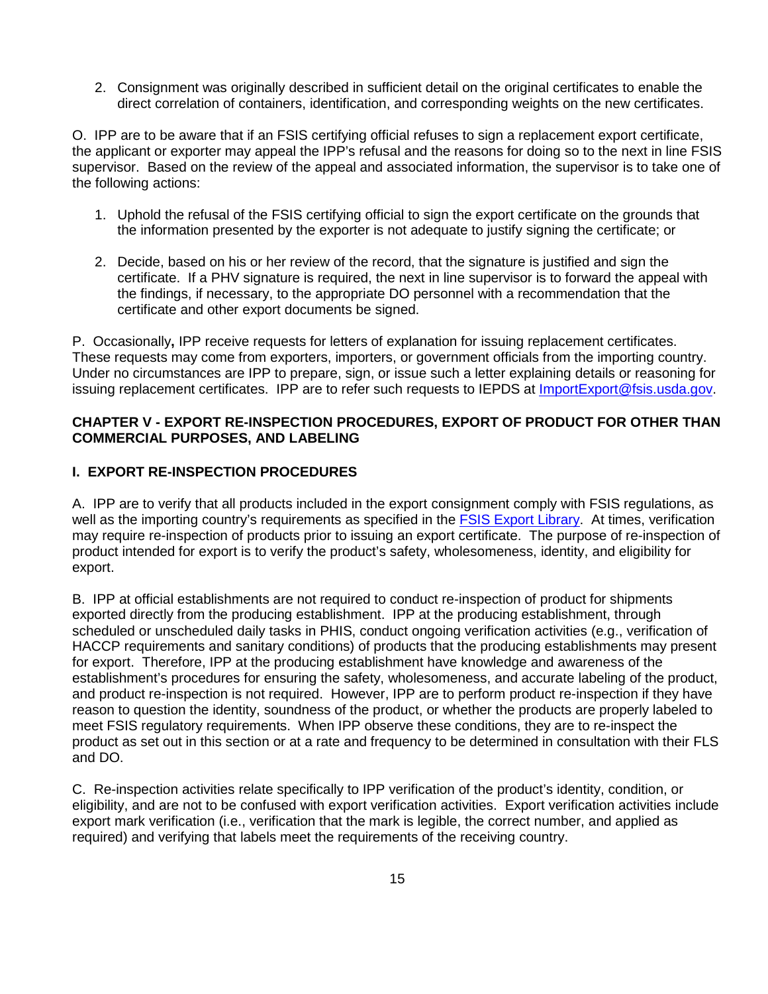direct correlation of containers, identification, and corresponding weights on the new certificates. 2. Consignment was originally described in sufficient detail on the original certificates to enable the

 the applicant or exporter may appeal the IPP's refusal and the reasons for doing so to the next in line FSIS the following actions: O. IPP are to be aware that if an FSIS certifying official refuses to sign a replacement export certificate, supervisor. Based on the review of the appeal and associated information, the supervisor is to take one of

- 1. Uphold the refusal of the FSIS certifying official to sign the export certificate on the grounds that the information presented by the exporter is not adequate to justify signing the certificate; or
- 2. Decide, based on his or her review of the record, that the signature is justified and sign the certificate. If a PHV signature is required, the next in line supervisor is to forward the appeal with the findings, if necessary, to the appropriate DO personnel with a recommendation that the certificate and other export documents be signed.

 P. Occasionally**,** IPP receive requests for letters of explanation for issuing replacement certificates. These requests may come from exporters, importers, or government officials from the importing country. Under no circumstances are IPP to prepare, sign, or issue such a letter explaining details or reasoning for  issuing replacement certificates. IPP are to refer such requests to IEPDS at [ImportExport@fsis.usda.gov.](mailto:ImportExport@fsis.usda.gov)

#### **COMMERCIAL PURPOSES, AND LABELING CHAPTER V - EXPORT RE-INSPECTION PROCEDURES, EXPORT OF PRODUCT FOR OTHER THAN**

#### **L. EXPORT RE-INSPECTION PROCEDURES**

 A. IPP are to verify that all products included in the export consignment comply with FSIS regulations, as may require re-inspection of products prior to issuing an export certificate. The purpose of re-inspection of product intended for export is to verify the product's safety, wholesomeness, identity, and eligibility for well as the importing country's requirements as specified in the [FSIS Export Library.](https://www.fsis.usda.gov/wps/portal/fsis/topics/international-affairs/exporting-products/export-library-requirements-by-country) At times, verification export.

 B. IPP at official establishments are not required to conduct re-inspection of product for shipments exported directly from the producing establishment. IPP at the producing establishment, through HACCP requirements and sanitary conditions) of products that the producing establishments may present for export. Therefore, IPP at the producing establishment have knowledge and awareness of the establishment's procedures for ensuring the safety, wholesomeness, and accurate labeling of the product, reason to question the identity, soundness of the product, or whether the products are properly labeled to meet FSIS regulatory requirements. When IPP observe these conditions, they are to re-inspect the product as set out in this section or at a rate and frequency to be determined in consultation with their FLS and DO. scheduled or unscheduled daily tasks in PHIS, conduct ongoing verification activities (e.g., verification of and product re-inspection is not required. However, IPP are to perform product re-inspection if they have

and DO.<br>C. Re-inspection activities relate specifically to IPP verification of the product's identity, condition, or export mark verification (i.e., verification that the mark is legible, the correct number, and applied as required) and verifying that labels meet the requirements of the receiving country. eligibility, and are not to be confused with export verification activities. Export verification activities include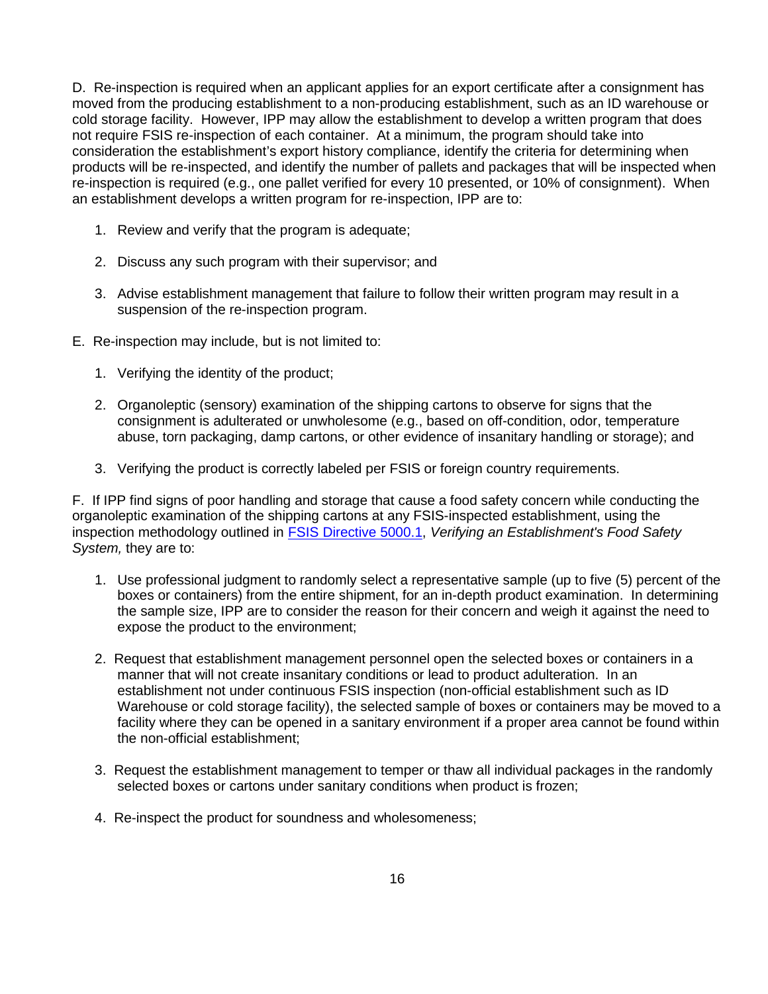D. Re-inspection is required when an applicant applies for an export certificate after a consignment has not require FSIS re-inspection of each container. At a minimum, the program should take into re-inspection is required (e.g., one pallet verified for every 10 presented, or 10% of consignment). When moved from the producing establishment to a non-producing establishment, such as an ID warehouse or cold storage facility. However, IPP may allow the establishment to develop a written program that does consideration the establishment's export history compliance, identify the criteria for determining when products will be re-inspected, and identify the number of pallets and packages that will be inspected when an establishment develops a written program for re-inspection, IPP are to:

- 1. Review and verify that the program is adequate;
- 2. Discuss any such program with their supervisor; and
- 3. Advise establishment management that failure to follow their written program may result in a suspension of the re-inspection program.
- E. Re-inspection may include, but is not limited to:
	- 1. Verifying the identity of the product;
	- 2. Organoleptic (sensory) examination of the shipping cartons to observe for signs that the consignment is adulterated or unwholesome (e.g., based on off-condition, odor, temperature abuse, torn packaging, damp cartons, or other evidence of insanitary handling or storage); and
	- 3. Verifying the product is correctly labeled per FSIS or foreign country requirements.

 F. If IPP find signs of poor handling and storage that cause a food safety concern while conducting the organoleptic examination of the shipping cartons at any FSIS-inspected establishment, using the inspection methodology outlined in [FSIS Directive 5000.1,](https://www.fsis.usda.gov/wps/portal/fsis/topics/regulations/directives/5000-series) *Verifying an Establishment's Food Safety System,* they are to:

- boxes or containers) from the entire shipment, for an in-depth product examination. In determining the sample size, IPP are to consider the reason for their concern and weigh it against the need to expose the product to the environment; 1. Use professional judgment to randomly select a representative sample (up to five (5) percent of the
- Warehouse or cold storage facility), the selected sample of boxes or containers may be moved to a 2. Request that establishment management personnel open the selected boxes or containers in a manner that will not create insanitary conditions or lead to product adulteration. In an establishment not under continuous FSIS inspection (non-official establishment such as ID facility where they can be opened in a sanitary environment if a proper area cannot be found within the non-official establishment;
- selected boxes or cartons under sanitary conditions when product is frozen; 3. Request the establishment management to temper or thaw all individual packages in the randomly
- 4. Re-inspect the product for soundness and wholesomeness;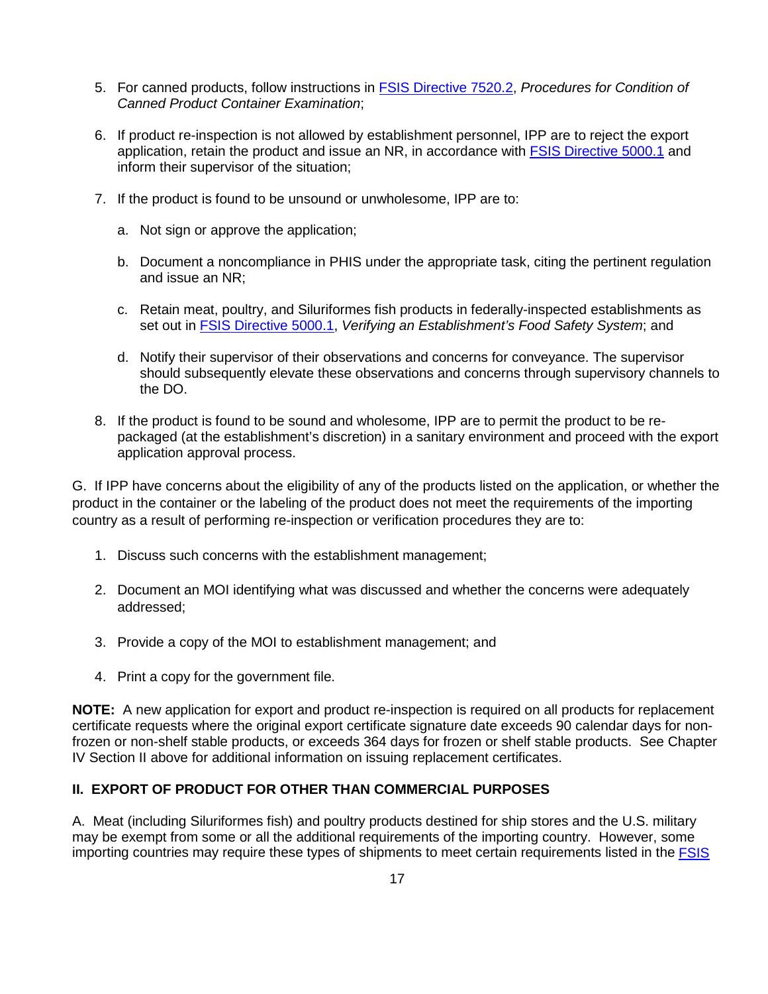- 5. For canned products, follow instructions in [FSIS Directive 7520.2,](https://www.fsis.usda.gov/wps/portal/fsis/topics/regulations/directives/7000-series) *Procedures for Condition of Canned Product Container Examination*;
- 6. If product re-inspection is not allowed by establishment personnel, IPP are to reject the export application, retain the product and issue an NR, in accordance with [FSIS Directive 5000.1](https://www.fsis.usda.gov/wps/portal/fsis/topics/regulations/directives/5000-series) and inform their supervisor of the situation;
- 7. If the product is found to be unsound or unwholesome, IPP are to:
	- a. Not sign or approve the application;
	- and issue an NR; b. Document a noncompliance in PHIS under the appropriate task, citing the pertinent regulation
	- c. Retain meat, poultry, and Siluriformes fish products in federally-inspected establishments as set out in [FSIS Directive 5000.1,](https://www.fsis.usda.gov/wps/portal/fsis/topics/regulations/directives/5000-series) *Verifying an Establishment's Food Safety System*; and
	- the DO. d. Notify their supervisor of their observations and concerns for conveyance. The supervisor should subsequently elevate these observations and concerns through supervisory channels to
- the DO.<br>8. If the product is found to be sound and wholesome, IPP are to permit the product to be re- packaged (at the establishment's discretion) in a sanitary environment and proceed with the export application approval process.

 G. If IPP have concerns about the eligibility of any of the products listed on the application, or whether the product in the container or the labeling of the product does not meet the requirements of the importing country as a result of performing re-inspection or verification procedures they are to:

- 1. Discuss such concerns with the establishment management;
- 2. Document an MOI identifying what was discussed and whether the concerns were adequately addressed;
- 3. Provide a copy of the MOI to establishment management; and
- 4. Print a copy for the government file.

 **NOTE:** A new application for export and product re-inspection is required on all products for replacement frozen or non-shelf stable products, or exceeds 364 days for frozen or shelf stable products. See Chapter IV Section II above for additional information on issuing replacement certificates. certificate requests where the original export certificate signature date exceeds 90 calendar days for non-

#### **II. EXPORT OF PRODUCT FOR OTHER THAN COMMERCIAL PURPOSES**

 A. Meat (including Siluriformes fish) and poultry products destined for ship stores and the U.S. military importing countries may require these types of shipments to meet certain requirements listed in the *FSIS* may be exempt from some or all the additional requirements of the importing country. However, some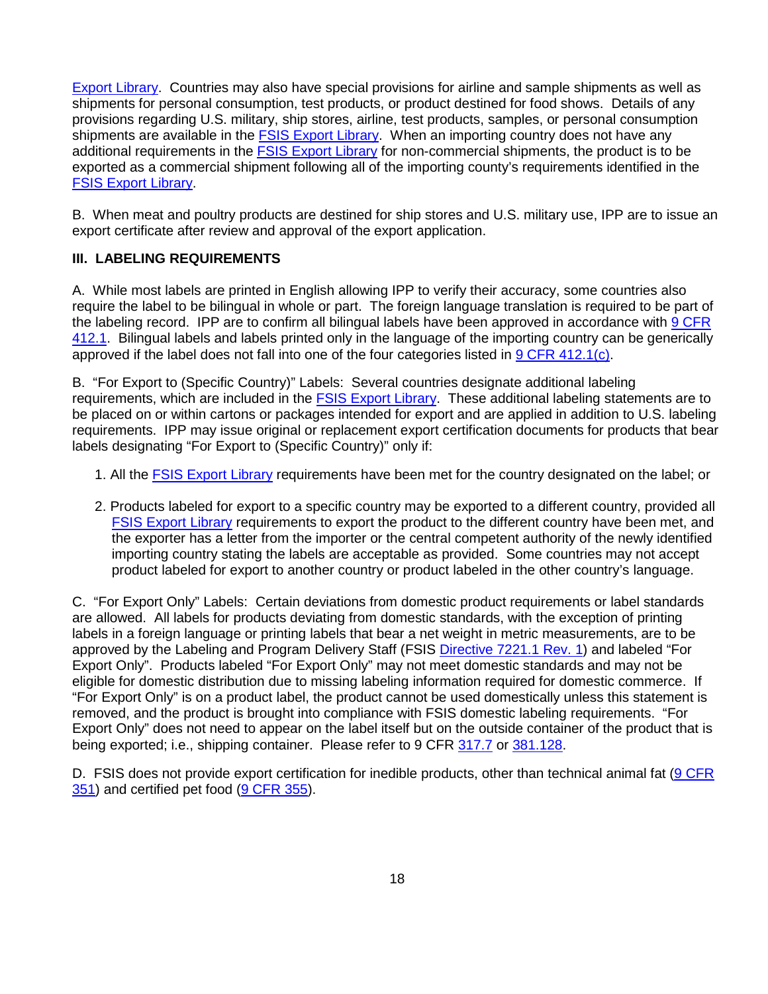[Export Library.](https://www.fsis.usda.gov/wps/portal/fsis/topics/international-affairs/exporting-products/export-library-requirements-by-country) Countries may also have special provisions for airline and sample shipments as well as shipments for personal consumption, test products, or product destined for food shows. Details of any provisions regarding U.S. military, ship stores, airline, test products, samples, or personal consumption shipments are available in the [FSIS Export Library.](https://www.fsis.usda.gov/wps/portal/fsis/topics/international-affairs/exporting-products/export-library-requirements-by-country) When an importing country does not have any additional requirements in the [FSIS Export Library](https://www.fsis.usda.gov/wps/portal/fsis/topics/international-affairs/exporting-products/export-library-requirements-by-country) for non-commercial shipments, the product is to be exported as a commercial shipment following all of the importing county's requirements identified in the [FSIS Export Library.](https://www.fsis.usda.gov/wps/portal/fsis/topics/international-affairs/exporting-products/export-library-requirements-by-country)

 B. When meat and poultry products are destined for ship stores and U.S. military use, IPP are to issue an export certificate after review and approval of the export application.

#### **III. LABELING REQUIREMENTS**

 A. While most labels are printed in English allowing IPP to verify their accuracy, some countries also require the label to be bilingual in whole or part. The foreign language translation is required to be part of the labeling record. IPP are to confirm all bilingual labels have been approved in accordance with <u>9 CFR</u> [412.1.](https://www.ecfr.gov/cgi-bin/text-idx?SID=8c023fd0fc5ef50a3ebf2fd646468d91&mc=true&node=pt9.2.412&rgn=div5) Bilingual labels and labels printed only in the language of the importing country can be generically approved if the label does not fall into one of the four categories listed in **9 CFR 412.1(c)**.

 B. "For Export to (Specific Country)" Labels: Several countries designate additional labeling requirements. IPP may issue original or replacement export certification documents for products that bear requirements, which are included in the **FSIS Export Library**. These additional labeling statements are to be placed on or within cartons or packages intended for export and are applied in addition to U.S. labeling labels designating "For Export to (Specific Country)" only if:

- 1. All the **FSIS Export Library** requirements have been met for the country designated on the label; or
- **FSIS Export Library** requirements to export the product to the different country have been met, and the exporter has a letter from the importer or the central competent authority of the newly identified importing country stating the labels are acceptable as provided. Some countries may not accept 2. Products labeled for export to a specific country may be exported to a different country, provided all product labeled for export to another country or product labeled in the other country's language.

 C. "For Export Only" Labels: Certain deviations from domestic product requirements or label standards are allowed. All labels for products deviating from domestic standards, with the exception of printing labels in a foreign language or printing labels that bear a net weight in metric measurements, are to be Export Only". Products labeled "For Export Only" may not meet domestic standards and may not be eligible for domestic distribution due to missing labeling information required for domestic commerce. If "For Export Only" is on a product label, the product cannot be used domestically unless this statement is removed, and the product is brought into compliance with FSIS domestic labeling requirements. "For Export Only" does not need to appear on the label itself but on the outside container of the product that is being exported; i.e., shipping container. Please refer to 9 CFR [317.7](https://www.ecfr.gov/cgi-bin/text-idx?SID=46ae4c18a56b4d470216d05a626b0f45&mc=true&node=pt9.2.317&rgn=div5#se9.2.317_17) or [381.128.](https://www.ecfr.gov/cgi-bin/text-idx?SID=a9f0c3bfaad7fb9913208e7b3268362b&mc=true&node=pt9.2.381&rgn=div5#se9.2.381_1128) approved by the Labeling and Program Delivery Staff (FSIS [Directive 7221.1 Rev. 1\)](https://www.fsis.usda.gov/wps/portal/fsis/topics/regulations/directives/7000-series) and labeled "For

D. FSIS does not provide export certification for inedible products, other than technical animal fat (O CFR [351\)](https://www.ecfr.gov/cgi-bin/text-idx?SID=8c023fd0fc5ef50a3ebf2fd646468d91&mc=true&node=pt9.2.351&rgn=div5) and certified pet food [\(9 CFR 355\)](https://www.ecfr.gov/cgi-bin/text-idx?SID=8b5de2e6e749d5937d61b81cec6cfb0f&mc=true&node=pt9.2.355&rgn=div5).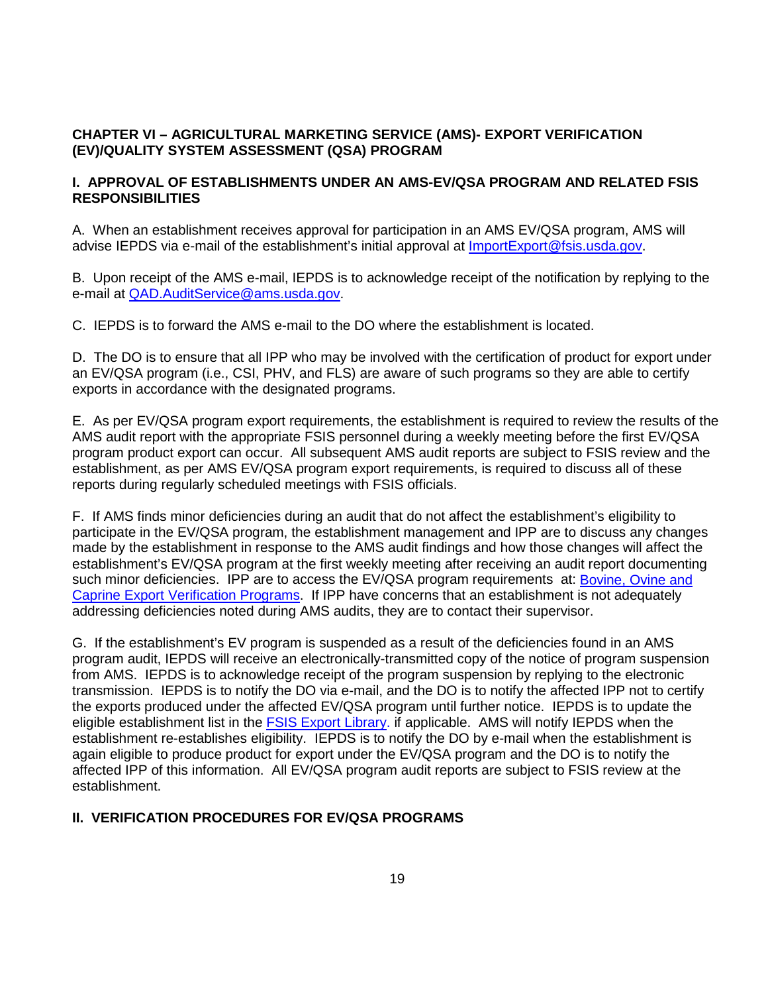#### **(EV)/QUALITY SYSTEM ASSESSMENT (QSA) PROGRAM CHAPTER VI – AGRICULTURAL MARKETING SERVICE (AMS)- EXPORT VERIFICATION**

#### **I. APPROVAL OF ESTABLISHMENTS UNDER AN AMS-EV/QSA PROGRAM AND RELATED FSIS RESPONSIBILITIES**

 A. When an establishment receives approval for participation in an AMS EV/QSA program, AMS will advise IEPDS via e-mail of the establishment's initial approval at [ImportExport@fsis.usda.gov.](mailto:ImportExport@fsis.usda.gov)

 B. Upon receipt of the AMS e-mail, IEPDS is to acknowledge receipt of the notification by replying to the e-mail at [QAD.AuditService@ams.usda.gov.](mailto:QAD.AuditService@ams.usda.gov)

C. IEPDS is to forward the AMS e-mail to the DO where the establishment is located.

 D. The DO is to ensure that all IPP who may be involved with the certification of product for export under an EV/QSA program (i.e., CSI, PHV, and FLS) are aware of such programs so they are able to certify exports in accordance with the designated programs.

 E. As per EV/QSA program export requirements, the establishment is required to review the results of the program product export can occur. All subsequent AMS audit reports are subject to FSIS review and the establishment, as per AMS EV/QSA program export requirements, is required to discuss all of these AMS audit report with the appropriate FSIS personnel during a weekly meeting before the first EV/QSA reports during regularly scheduled meetings with FSIS officials.

 participate in the EV/QSA program, the establishment management and IPP are to discuss any changes made by the establishment in response to the AMS audit findings and how those changes will affect the establishment's EV/QSA program at the first weekly meeting after receiving an audit report documenting such minor deficiencies. IPP are to access the EV/QSA program requirements at: **Bovine, Ovine and** [Caprine Export Verification Programs.](https://www.ams.usda.gov/services/imports-exports/bovine-ovine-and-caprine-export-verification-programs) If IPP have concerns that an establishment is not adequately F. If AMS finds minor deficiencies during an audit that do not affect the establishment's eligibility to addressing deficiencies noted during AMS audits, they are to contact their supervisor.

 from AMS. IEPDS is to acknowledge receipt of the program suspension by replying to the electronic transmission. IEPDS is to notify the DO via e-mail, and the DO is to notify the affected IPP not to certify establishment re-establishes eligibility. IEPDS is to notify the DO by e-mail when the establishment is again eligible to produce product for export under the EV/QSA program and the DO is to notify the affected IPP of this information. All EV/QSA program audit reports are subject to FSIS review at the G. If the establishment's EV program is suspended as a result of the deficiencies found in an AMS program audit, IEPDS will receive an electronically-transmitted copy of the notice of program suspension the exports produced under the affected EV/QSA program until further notice. IEPDS is to update the eligible establishment list in the **FSIS Export Library**. if applicable. AMS will notify IEPDS when the establishment.

#### **II. VERIFICATION PROCEDURES FOR EV/QSA PROGRAMS**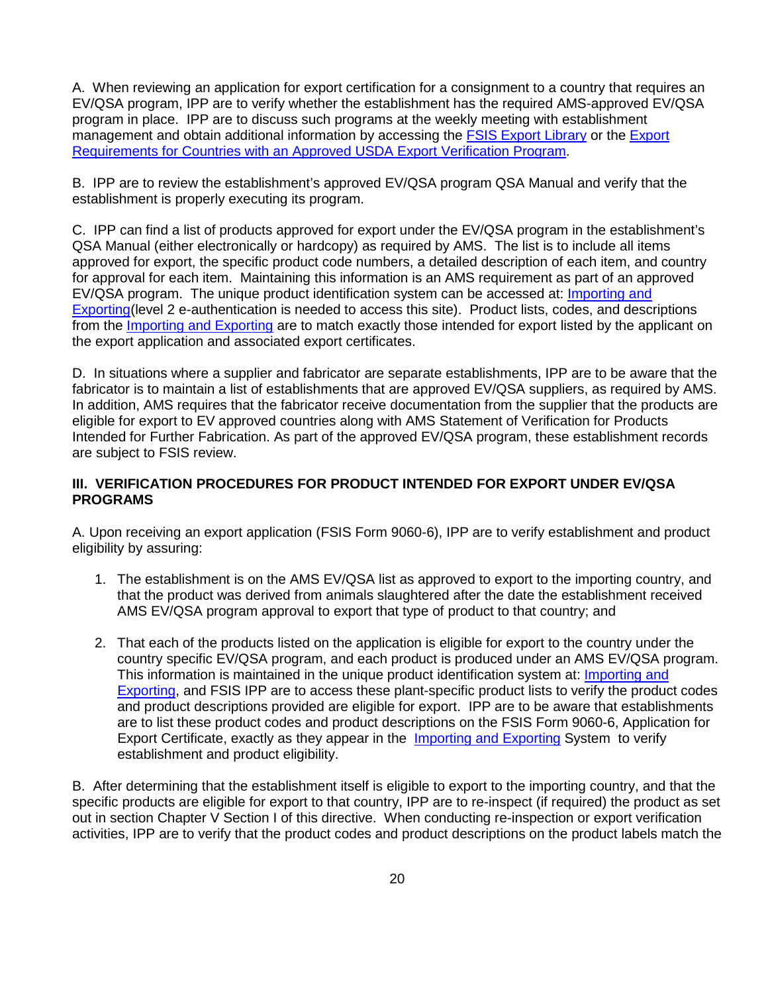A. When reviewing an application for export certification for a consignment to a country that requires an EV/QSA program, IPP are to verify whether the establishment has the required AMS-approved EV/QSA program in place. IPP are to discuss such programs at the weekly meeting with establishment management and obtain additional information by accessing the **FSIS [Export](http://www.fsis.usda.gov/wps/portal/fsis/topics/international-affairs/exporting-products/EV-Programs) Library** or the *Export* Requirements for Countries with an Approved USDA Export Verification Program.

B. IPP are to review the establishment's approved EV/QSA program QSA Manual and verify that the establishment is properly executing its program.

EV/QSA program. The unique product identification system can be accessed at: **Importing and** [Exporting\(](https://inside.fsis.usda.gov/fsis/emp/static/partnerweb/index.jsp)level 2 e-authentication is needed to access this site). Product lists, codes, and descriptions C. IPP can find a list of products approved for export under the EV/QSA program in the establishment's QSA Manual (either electronically or hardcopy) as required by AMS. The list is to include all items approved for export, the specific product code numbers, a detailed description of each item, and country for approval for each item. Maintaining this information is an AMS requirement as part of an approved from the [Importing and Exporting](https://inside.fsis.usda.gov/fsis/emp/static/partnerweb/index.jsp) are to match exactly those intended for export listed by the applicant on the export application and associated export certificates.

 D. In situations where a supplier and fabricator are separate establishments, IPP are to be aware that the eligible for export to EV approved countries along with AMS Statement of Verification for Products Intended for Further Fabrication. As part of the approved EV/QSA program, these establishment records fabricator is to maintain a list of establishments that are approved EV/QSA suppliers, as required by AMS. In addition, AMS requires that the fabricator receive documentation from the supplier that the products are are subject to FSIS review.

#### **III. VERIFICATION PROCEDURES FOR PRODUCT INTENDED FOR EXPORT UNDER EV/QSA PROGRAMS**

A. Upon receiving an export application (FSIS Form 9060-6), IPP are to verify establishment and product eligibility by assuring:

- 1. The establishment is on the AMS EV/QSA list as approved to export to the importing country, and that the product was derived from animals slaughtered after the date the establishment received AMS EV/QSA program approval to export that type of product to that country; and
- country specific EV/QSA program, and each product is produced under an AMS EV/QSA program.<br>This information is maintained in the unique product identification system at: <u>Importing and</u> This information is maintained in the unique product identification system at: Importing and **Exporting**, and FSIS IPP are to access these plant-specific product lists to verify the product codes and product descriptions provided are eligible for export. IPP are to be aware that establishments Export Certificate, exactly as they appear in the [Importing and Exporting](https://inside.fsis.usda.gov/fsis/emp/static/partnerweb/index.jsp) System to verify 2. That each of the products listed on the application is eligible for export to the country under the are to list these product codes and product descriptions on the FSIS Form 9060-6, Application for establishment and product eligibility.

 B. After determining that the establishment itself is eligible to export to the importing country, and that the specific products are eligible for export to that country, IPP are to re-inspect (if required) the product as set out in section Chapter V Section I of this directive. When conducting re-inspection or export verification activities, IPP are to verify that the product codes and product descriptions on the product labels match the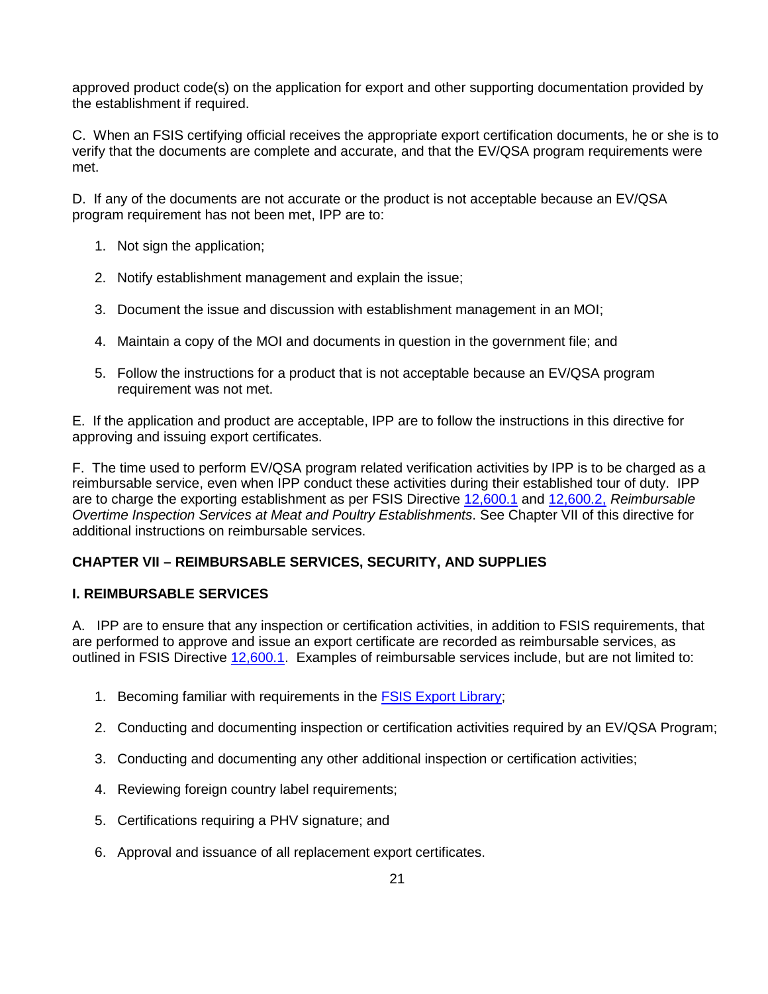approved product code(s) on the application for export and other supporting documentation provided by the establishment if required.

C. When an FSIS certifying official receives the appropriate export certification documents, he or she is to verify that the documents are complete and accurate, and that the EV/QSA program requirements were met.

 D. If any of the documents are not accurate or the product is not acceptable because an EV/QSA program requirement has not been met, IPP are to:

- 1. Not sign the application;
- 2. Notify establishment management and explain the issue;
- 3. Document the issue and discussion with establishment management in an MOI;
- 4. Maintain a copy of the MOI and documents in question in the government file; and
- requirement was not met. 5. Follow the instructions for a product that is not acceptable because an EV/QSA program

 E. If the application and product are acceptable, IPP are to follow the instructions in this directive for approving and issuing export certificates.

 reimbursable service, even when IPP conduct these activities during their established tour of duty. IPP are to charge the exporting establishment as per FSIS Directive [12,600.1](https://www.fsis.usda.gov/wps/portal/fsis/topics/regulations/directives/12000-series/12000-series) and [12,600.2,](https://www.fsis.usda.gov/wps/portal/fsis/topics/regulations/directives/12000-series/12000-series) *Reimbursable*  F. The time used to perform EV/QSA program related verification activities by IPP is to be charged as a *Overtime Inspection Services at Meat and Poultry Establishments*. See Chapter VII of this directive for additional instructions on reimbursable services.

#### **CHAPTER VII – REIMBURSABLE SERVICES, SECURITY, AND SUPPLIES**

#### **I. REIMBURSABLE SERVICES**

 A. IPP are to ensure that any inspection or certification activities, in addition to FSIS requirements, that are performed to approve and issue an export certificate are recorded as reimbursable services, as outlined in FSIS Directive [12,600.1.](https://www.fsis.usda.gov/wps/portal/fsis/topics/regulations/directives/12000-series/12000-series) Examples of reimbursable services include, but are not limited to:

- 1. Becoming familiar with requirements in the **FSIS Export Library**;
- 2. Conducting and documenting inspection or certification activities required by an EV/QSA Program;
- 3. Conducting and documenting any other additional inspection or certification activities;
- 4. Reviewing foreign country label requirements;
- 5. Certifications requiring a PHV signature; and
- 6. Approval and issuance of all replacement export certificates.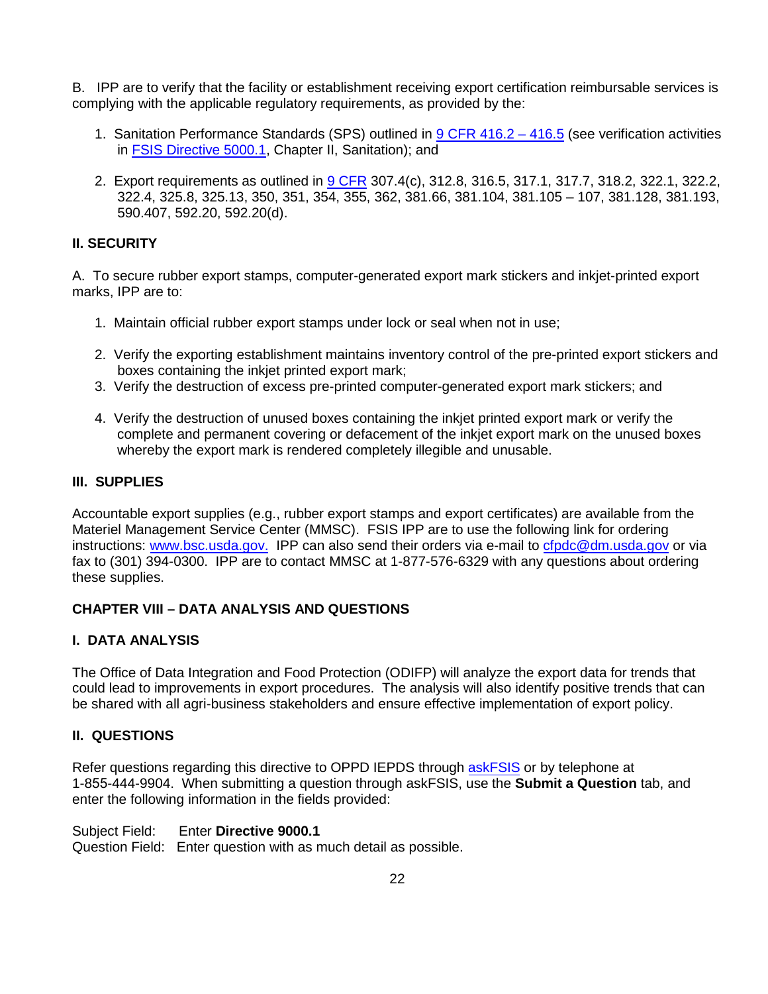B. IPP are to verify that the facility or establishment receiving export certification reimbursable services is complying with the applicable regulatory requirements, as provided by the:

- 1. Sanitation Performance Standards (SPS) outlined in [9 CFR 416.2 416.5](https://www.ecfr.gov/cgi-bin/text-idx?SID=8b5de2e6e749d5937d61b81cec6cfb0f&mc=true&node=pt9.2.416&rgn=div5) (see verification activities in [FSIS Directive 5000.1,](https://www.fsis.usda.gov/wps/portal/fsis/topics/regulations/directives/5000-series) Chapter II, Sanitation); and
- 2. Export requirements as outlined in [9 CFR](https://www.ecfr.gov/cgi-bin/text-idx?SID=24a5421c85a8c48f63c3fbf04ac38da6&mc=true&tpl=/ecfrbrowse/Title09/9cfrv2_02.tpl#300) 307.4(c), 312.8, 316.5, 317.1, 317.7, 318.2, 322.1, 322.2, 322.4, 325.8, 325.13, 350, 351, 354, 355, 362, 381.66, 381.104, 381.105 – 107, 381.128, 381.193, 590.407, 592.20, 592.20(d).

#### **II. SECURITY**

 A. To secure rubber export stamps, computer-generated export mark stickers and inkjet-printed export marks, IPP are to:

- 1. Maintain official rubber export stamps under lock or seal when not in use;
- 2. Verify the exporting establishment maintains inventory control of the pre-printed export stickers and boxes containing the inkjet printed export mark;
- 3. Verify the destruction of excess pre-printed computer-generated export mark stickers; and
- complete and permanent covering or defacement of the inkjet export mark on the unused boxes whereby the export mark is rendered completely illegible and unusable. 4. Verify the destruction of unused boxes containing the inkjet printed export mark or verify the

#### **III. SUPPLIES**

Accountable export supplies (e.g., rubber export stamps and export certificates) are available from the Materiel Management Service Center (MMSC). FSIS IPP are to use the following link for ordering instructions[: www.bsc.usda.gov.](http://www.bsc.usda.gov/) IPP can also send their orders via e-mail t[o cfpdc@dm.usda.gov](mailto:cfpdc@dm.usda.gov) or via fax to (301) 394-0300. IPP are to contact MMSC at 1-877-576-6329 with any questions about ordering these supplies.

#### **CHAPTER VIII – DATA ANALYSIS AND QUESTIONS**

#### **I. DATA ANALYSIS**

The Office of Data Integration and Food Protection (ODIFP) will analyze the export data for trends that could lead to improvements in export procedures. The analysis will also identify positive trends that can be shared with all agri-business stakeholders and ensure effective implementation of export policy.

#### **II. QUESTIONS**

Refer questions regarding this directive to OPPD IEPDS throug[h askFSIS](http://askfsis.custhelp.com/) or by telephone at 1-855-444-9904. When submitting a question through askFSIS, use the **Submit a Question** tab, and enter the following information in the fields provided:

#### Subject Field: **Enter Directive 9000.1**

Question Field: Enter question with as much detail as possible.